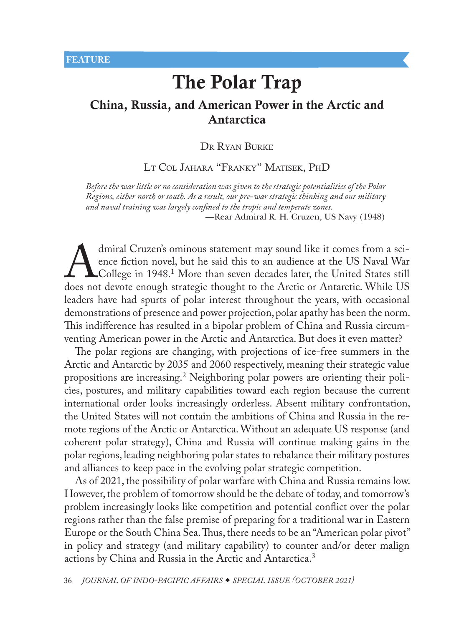# <span id="page-0-0"></span>China, Russia, and American Power in the Arctic and Antarctica

### Dr Ryan Burke

[Lt Col Jahara "Franky" Matisek, PhD](#page-24-0)

*Before the war little or no consideration was given to the strategic potentialities of the Polar Regions, either north or south. As a result, our pre-war strategic thinking and our military and naval training was largely confined to the tropic and temperate zones.* —Rear Admiral R. H. Cruzen, US Navy (1948)

dmiral Cruzen's ominous statement may sound like it comes from a sci-<br>ence fiction novel, but he said this to an audience at the US Naval War<br>college in 1948.<sup>1</sup> More than seven decades later, the United States still<br>does ence fiction novel, but he said this to an audience at the US Naval War College in 1948.<sup>1</sup> More than seven decades later, the United States still does not devote enough strategic thought to the Arctic or Antarctic. While US leaders have had spurts of polar interest throughout the years, with occasional demonstrations of presence and power projection, polar apathy has been the norm. This indifference has resulted in a bipolar problem of China and Russia circumventing American power in the Arctic and Antarctica. But does it even matter?

The polar regions are changing, with projections of ice-free summers in the Arctic and Antarctic by 2035 and 2060 respectively, meaning their strategic value propositions are increasing.[2](#page-24-0) Neighboring polar powers are orienting their policies, postures, and military capabilities toward each region because the current international order looks increasingly orderless. Absent military confrontation, the United States will not contain the ambitions of China and Russia in the remote regions of the Arctic or Antarctica. Without an adequate US response (and coherent polar strategy), China and Russia will continue making gains in the polar regions, leading neighboring polar states to rebalance their military postures and alliances to keep pace in the evolving polar strategic competition.

As of 2021, the possibility of polar warfare with China and Russia remains low. However, the problem of tomorrow should be the debate of today, and tomorrow's problem increasingly looks like competition and potential conflict over the polar regions rather than the false premise of preparing for a traditional war in Eastern Europe or the South China Sea. Thus, there needs to be an "American polar pivot" in policy and strategy (and military capability) to counter and/or deter malign actions by China and Russia in the Arctic and Antarctica.[3](#page-24-0)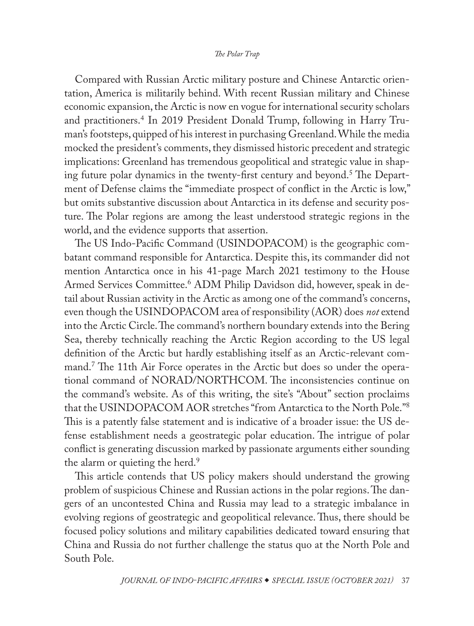<span id="page-1-0"></span>Compared with Russian Arctic military posture and Chinese Antarctic orientation, America is militarily behind. With recent Russian military and Chinese economic expansion, the Arctic is now en vogue for international security scholars and practitioners[.4](#page-25-0) In 2019 President Donald Trump, following in Harry Truman's footsteps, quipped of his interest in purchasing Greenland. While the media mocked the president's comments, they dismissed historic precedent and strategic implications: Greenland has tremendous geopolitical and strategic value in shap-ing future polar dynamics in the twenty-first century and beyond.<sup>[5](#page-25-0)</sup> The Department of Defense claims the "immediate prospect of conflict in the Arctic is low," but omits substantive discussion about Antarctica in its defense and security posture. The Polar regions are among the least understood strategic regions in the world, and the evidence supports that assertion.

The US Indo-Pacific Command (USINDOPACOM) is the geographic combatant command responsible for Antarctica. Despite this, its commander did not mention Antarctica once in his 41-page March 2021 testimony to the House Armed Services Committee.[6](#page-25-0) ADM Philip Davidson did, however, speak in detail about Russian activity in the Arctic as among one of the command's concerns, even though the USINDOPACOM area of responsibility (AOR) does *not* extend into the Arctic Circle. The command's northern boundary extends into the Bering Sea, thereby technically reaching the Arctic Region according to the US legal definition of the Arctic but hardly establishing itself as an Arctic-relevant command[.7](#page-25-0) The 11th Air Force operates in the Arctic but does so under the operational command of NORAD/NORTHCOM. The inconsistencies continue on the command's website. As of this writing, the site's "About" section proclaims that the USINDOPACOM AOR stretches "from Antarctica to the North Pole."[8](#page-25-0) This is a patently false statement and is indicative of a broader issue: the US defense establishment needs a geostrategic polar education. The intrigue of polar conflict is generating discussion marked by passionate arguments either sounding the alarm or quieting the herd.<sup>[9](#page-25-0)</sup>

This article contends that US policy makers should understand the growing problem of suspicious Chinese and Russian actions in the polar regions. The dangers of an uncontested China and Russia may lead to a strategic imbalance in evolving regions of geostrategic and geopolitical relevance. Thus, there should be focused policy solutions and military capabilities dedicated toward ensuring that China and Russia do not further challenge the status quo at the North Pole and South Pole.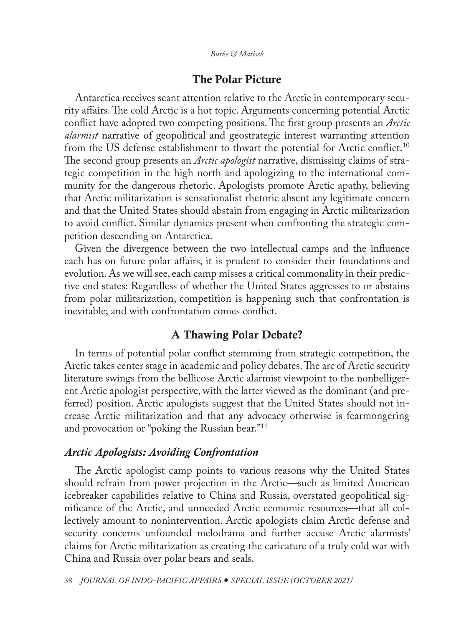# The Polar Picture

<span id="page-2-0"></span>Antarctica receives scant attention relative to the Arctic in contemporary security affairs. The cold Arctic is a hot topic. Arguments concerning potential Arctic conflict have adopted two competing positions. The first group presents an *Arctic alarmist* narrative of geopolitical and geostrategic interest warranting attention from the US defense establishment to thwart the potential for Arctic conflict.<sup>10</sup> The second group presents an *Arctic apologist* narrative, dismissing claims of strategic competition in the high north and apologizing to the international community for the dangerous rhetoric. Apologists promote Arctic apathy, believing that Arctic militarization is sensationalist rhetoric absent any legitimate concern and that the United States should abstain from engaging in Arctic militarization to avoid conflict. Similar dynamics present when confronting the strategic competition descending on Antarctica.

Given the divergence between the two intellectual camps and the influence each has on future polar affairs, it is prudent to consider their foundations and evolution. As we will see, each camp misses a critical commonality in their predictive end states: Regardless of whether the United States aggresses to or abstains from polar militarization, competition is happening such that confrontation is inevitable; and with confrontation comes conflict.

# A Thawing Polar Debate?

In terms of potential polar conflict stemming from strategic competition, the Arctic takes center stage in academic and policy debates. The arc of Arctic security literature swings from the bellicose Arctic alarmist viewpoint to the nonbelligerent Arctic apologist perspective, with the latter viewed as the dominant (and preferred) position. Arctic apologists suggest that the United States should not increase Arctic militarization and that any advocacy otherwise is fearmongering and provocation or "poking the Russian bear.["11](#page-25-0)

# *Arctic Apologists: Avoiding Confrontation*

The Arctic apologist camp points to various reasons why the United States should refrain from power projection in the Arctic—such as limited American icebreaker capabilities relative to China and Russia, overstated geopolitical significance of the Arctic, and unneeded Arctic economic resources—that all collectively amount to nonintervention. Arctic apologists claim Arctic defense and security concerns unfounded melodrama and further accuse Arctic alarmists' claims for Arctic militarization as creating the caricature of a truly cold war with China and Russia over polar bears and seals.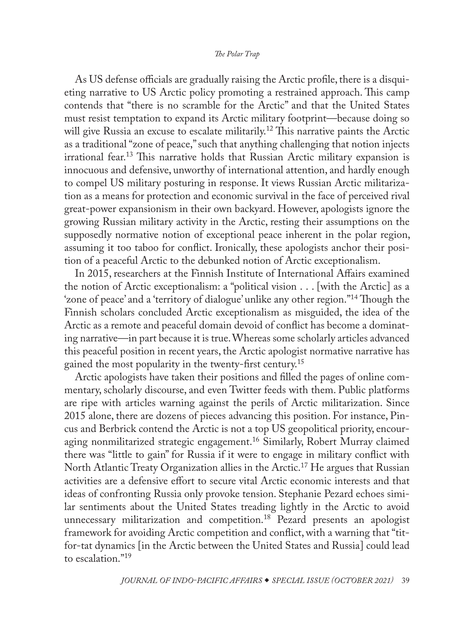<span id="page-3-0"></span>As US defense officials are gradually raising the Arctic profile, there is a disquieting narrative to US Arctic policy promoting a restrained approach. This camp contends that "there is no scramble for the Arctic" and that the United States must resist temptation to expand its Arctic military footprint—because doing so will give Russia an excuse to escalate militarily.<sup>12</sup> This narrative paints the Arctic as a traditional "zone of peace," such that anything challenging that notion injects irrational fear.[13](#page-25-0) This narrative holds that Russian Arctic military expansion is innocuous and defensive, unworthy of international attention, and hardly enough to compel US military posturing in response. It views Russian Arctic militarization as a means for protection and economic survival in the face of perceived rival great-power expansionism in their own backyard. However, apologists ignore the growing Russian military activity in the Arctic, resting their assumptions on the supposedly normative notion of exceptional peace inherent in the polar region, assuming it too taboo for conflict. Ironically, these apologists anchor their position of a peaceful Arctic to the debunked notion of Arctic exceptionalism.

In 2015, researchers at the Finnish Institute of International Affairs examined the notion of Arctic exceptionalism: a "political vision . . . [with the Arctic] as a 'zone of peace' and a 'territory of dialogue' unlike any other region."[14](#page-25-0) Though the Finnish scholars concluded Arctic exceptionalism as misguided, the idea of the Arctic as a remote and peaceful domain devoid of conflict has become a dominating narrative—in part because it is true. Whereas some scholarly articles advanced this peaceful position in recent years, the Arctic apologist normative narrative has gained the most popularity in the twenty-first century.<sup>15</sup>

Arctic apologists have taken their positions and filled the pages of online commentary, scholarly discourse, and even Twitter feeds with them. Public platforms are ripe with articles warning against the perils of Arctic militarization. Since 2015 alone, there are dozens of pieces advancing this position. For instance, Pincus and Berbrick contend the Arctic is not a top US geopolitical priority, encouraging nonmilitarized strategic engagement.[16](#page-25-0) Similarly, Robert Murray claimed there was "little to gain" for Russia if it were to engage in military conflict with North Atlantic Treaty Organization allies in the Arctic.<sup>17</sup> He argues that Russian activities are a defensive effort to secure vital Arctic economic interests and that ideas of confronting Russia only provoke tension. Stephanie Pezard echoes similar sentiments about the United States treading lightly in the Arctic to avoid unnecessary militarization and competition.<sup>[18](#page-25-0)</sup> Pezard presents an apologist framework for avoiding Arctic competition and conflict, with a warning that "titfor-tat dynamics [in the Arctic between the United States and Russia] could lead to escalation.["19](#page-25-0)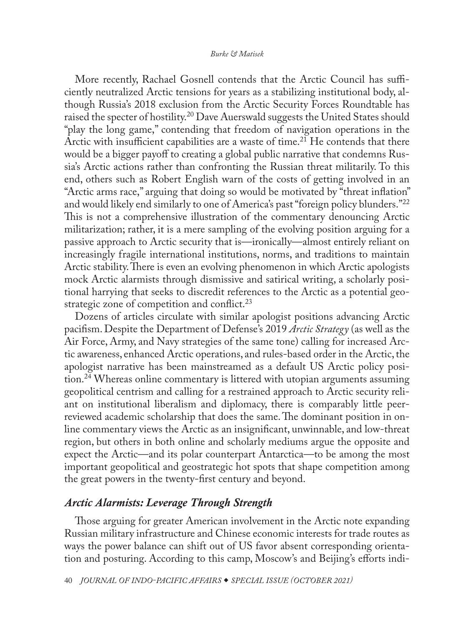<span id="page-4-0"></span>More recently, Rachael Gosnell contends that the Arctic Council has sufficiently neutralized Arctic tensions for years as a stabilizing institutional body, although Russia's 2018 exclusion from the Arctic Security Forces Roundtable has raised the specter of hostility.<sup>[20](#page-25-0)</sup> Dave Auerswald suggests the United States should "play the long game," contending that freedom of navigation operations in the Arctic with insufficient capabilities are a waste of time.<sup>[21](#page-25-0)</sup> He contends that there would be a bigger payoff to creating a global public narrative that condemns Russia's Arctic actions rather than confronting the Russian threat militarily. To this end, others such as Robert English warn of the costs of getting involved in an "Arctic arms race," arguing that doing so would be motivated by "threat inflation" and would likely end similarly to one of America's past "foreign policy blunders."[22](#page-26-0) This is not a comprehensive illustration of the commentary denouncing Arctic militarization; rather, it is a mere sampling of the evolving position arguing for a passive approach to Arctic security that is—ironically—almost entirely reliant on increasingly fragile international institutions, norms, and traditions to maintain Arctic stability. There is even an evolving phenomenon in which Arctic apologists mock Arctic alarmists through dismissive and satirical writing, a scholarly positional harrying that seeks to discredit references to the Arctic as a potential geostrategic zone of competition and conflict. $^{23}$  $^{23}$  $^{23}$ 

Dozens of articles circulate with similar apologist positions advancing Arctic pacifism. Despite the Department of Defense's 2019 *Arctic Strategy* (as well as the Air Force, Army, and Navy strategies of the same tone) calling for increased Arctic awareness, enhanced Arctic operations, and rules-based order in the Arctic, the apologist narrative has been mainstreamed as a default US Arctic policy position.<sup>24</sup> Whereas online commentary is littered with utopian arguments assuming geopolitical centrism and calling for a restrained approach to Arctic security reliant on institutional liberalism and diplomacy, there is comparably little peerreviewed academic scholarship that does the same. The dominant position in online commentary views the Arctic as an insignificant, unwinnable, and low-threat region, but others in both online and scholarly mediums argue the opposite and expect the Arctic—and its polar counterpart Antarctica—to be among the most important geopolitical and geostrategic hot spots that shape competition among the great powers in the twenty-first century and beyond.

### *Arctic Alarmists: Leverage Through Strength*

Those arguing for greater American involvement in the Arctic note expanding Russian military infrastructure and Chinese economic interests for trade routes as ways the power balance can shift out of US favor absent corresponding orientation and posturing. According to this camp, Moscow's and Beijing's efforts indi-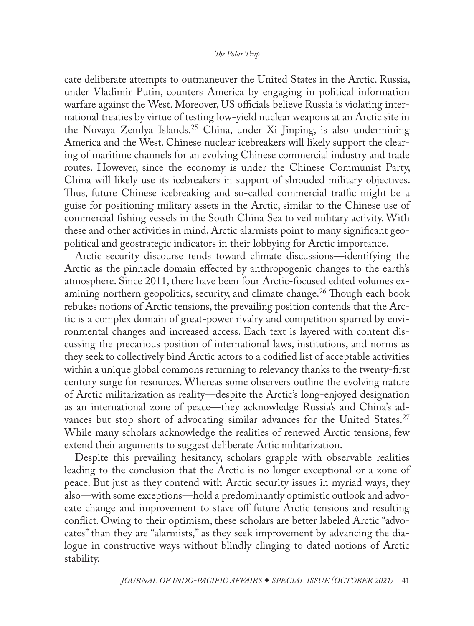<span id="page-5-0"></span>cate deliberate attempts to outmaneuver the United States in the Arctic. Russia, under Vladimir Putin, counters America by engaging in political information warfare against the West. Moreover, US officials believe Russia is violating international treaties by virtue of testing low-yield nuclear weapons at an Arctic site in the Novaya Zemlya Islands[.25](#page-26-0) China, under Xi Jinping, is also undermining America and the West. Chinese nuclear icebreakers will likely support the clearing of maritime channels for an evolving Chinese commercial industry and trade routes. However, since the economy is under the Chinese Communist Party, China will likely use its icebreakers in support of shrouded military objectives. Thus, future Chinese icebreaking and so-called commercial traffic might be a guise for positioning military assets in the Arctic, similar to the Chinese use of commercial fishing vessels in the South China Sea to veil military activity. With these and other activities in mind, Arctic alarmists point to many significant geopolitical and geostrategic indicators in their lobbying for Arctic importance.

Arctic security discourse tends toward climate discussions—identifying the Arctic as the pinnacle domain effected by anthropogenic changes to the earth's atmosphere. Since 2011, there have been four Arctic-focused edited volumes examining northern geopolitics, security, and climate change.<sup>26</sup> Though each book rebukes notions of Arctic tensions, the prevailing position contends that the Arctic is a complex domain of great-power rivalry and competition spurred by environmental changes and increased access. Each text is layered with content discussing the precarious position of international laws, institutions, and norms as they seek to collectively bind Arctic actors to a codified list of acceptable activities within a unique global commons returning to relevancy thanks to the twenty-first century surge for resources. Whereas some observers outline the evolving nature of Arctic militarization as reality—despite the Arctic's long-enjoyed designation as an international zone of peace—they acknowledge Russia's and China's ad-vances but stop short of advocating similar advances for the United States.<sup>[27](#page-26-0)</sup> While many scholars acknowledge the realities of renewed Arctic tensions, few extend their arguments to suggest deliberate Artic militarization.

Despite this prevailing hesitancy, scholars grapple with observable realities leading to the conclusion that the Arctic is no longer exceptional or a zone of peace. But just as they contend with Arctic security issues in myriad ways, they also—with some exceptions—hold a predominantly optimistic outlook and advocate change and improvement to stave off future Arctic tensions and resulting conflict. Owing to their optimism, these scholars are better labeled Arctic "advocates" than they are "alarmists," as they seek improvement by advancing the dialogue in constructive ways without blindly clinging to dated notions of Arctic stability.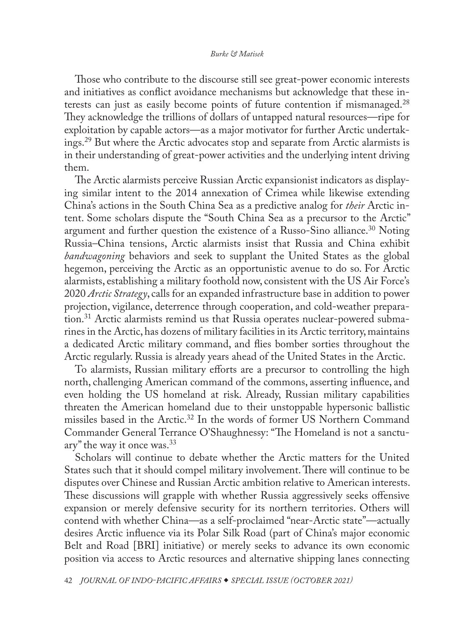<span id="page-6-0"></span>Those who contribute to the discourse still see great-power economic interests and initiatives as conflict avoidance mechanisms but acknowledge that these in-terests can just as easily become points of future contention if mismanaged.<sup>[28](#page-26-0)</sup> They acknowledge the trillions of dollars of untapped natural resources—ripe for exploitation by capable actors—as a major motivator for further Arctic undertakings.<sup>29</sup> But where the Arctic advocates stop and separate from Arctic alarmists is in their understanding of great-power activities and the underlying intent driving them.

The Arctic alarmists perceive Russian Arctic expansionist indicators as displaying similar intent to the 2014 annexation of Crimea while likewise extending China's actions in the South China Sea as a predictive analog for *their* Arctic intent. Some scholars dispute the "South China Sea as a precursor to the Arctic" argument and further question the existence of a Russo-Sino alliance.<sup>30</sup> Noting Russia–China tensions, Arctic alarmists insist that Russia and China exhibit *bandwagoning* behaviors and seek to supplant the United States as the global hegemon, perceiving the Arctic as an opportunistic avenue to do so. For Arctic alarmists, establishing a military foothold now, consistent with the US Air Force's 2020 *Arctic Strategy*, calls for an expanded infrastructure base in addition to power projection, vigilance, deterrence through cooperation, and cold-weather preparation.<sup>31</sup> Arctic alarmists remind us that Russia operates nuclear-powered submarines in the Arctic, has dozens of military facilities in its Arctic territory, maintains a dedicated Arctic military command, and flies bomber sorties throughout the Arctic regularly. Russia is already years ahead of the United States in the Arctic.

To alarmists, Russian military efforts are a precursor to controlling the high north, challenging American command of the commons, asserting influence, and even holding the US homeland at risk. Already, Russian military capabilities threaten the American homeland due to their unstoppable hypersonic ballistic missiles based in the Arctic[.32](#page-26-0) In the words of former US Northern Command Commander General Terrance O'Shaughnessy: "The Homeland is not a sanctuary" the way it once was.[33](#page-26-0)

Scholars will continue to debate whether the Arctic matters for the United States such that it should compel military involvement. There will continue to be disputes over Chinese and Russian Arctic ambition relative to American interests. These discussions will grapple with whether Russia aggressively seeks offensive expansion or merely defensive security for its northern territories. Others will contend with whether China—as a self-proclaimed "near-Arctic state"—actually desires Arctic influence via its Polar Silk Road (part of China's major economic Belt and Road [BRI] initiative) or merely seeks to advance its own economic position via access to Arctic resources and alternative shipping lanes connecting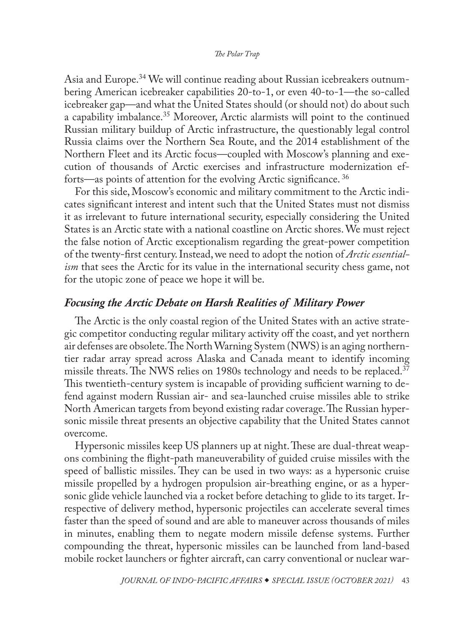<span id="page-7-0"></span>Asia and Europe.[34](#page-26-0) We will continue reading about Russian icebreakers outnumbering American icebreaker capabilities 20-to-1, or even 40-to-1—the so-called icebreaker gap—and what the United States should (or should not) do about such a capability imbalance.[35](#page-26-0) Moreover, Arctic alarmists will point to the continued Russian military buildup of Arctic infrastructure, the questionably legal control Russia claims over the Northern Sea Route, and the 2014 establishment of the Northern Fleet and its Arctic focus—coupled with Moscow's planning and execution of thousands of Arctic exercises and infrastructure modernization efforts—as points of attention for the evolving Arctic significance. [36](#page-26-0)

For this side, Moscow's economic and military commitment to the Arctic indicates significant interest and intent such that the United States must not dismiss it as irrelevant to future international security, especially considering the United States is an Arctic state with a national coastline on Arctic shores. We must reject the false notion of Arctic exceptionalism regarding the great-power competition of the twenty-first century. Instead, we need to adopt the notion of *Arctic essentialism* that sees the Arctic for its value in the international security chess game, not for the utopic zone of peace we hope it will be.

# *Focusing the Arctic Debate on Harsh Realities of Military Power*

The Arctic is the only coastal region of the United States with an active strategic competitor conducting regular military activity off the coast, and yet northern air defenses are obsolete. The North Warning System (NWS) is an aging northerntier radar array spread across Alaska and Canada meant to identify incoming missile threats. The NWS relies on 1980s technology and needs to be replaced.<sup>37</sup> This twentieth-century system is incapable of providing sufficient warning to defend against modern Russian air- and sea-launched cruise missiles able to strike North American targets from beyond existing radar coverage. The Russian hypersonic missile threat presents an objective capability that the United States cannot overcome.

Hypersonic missiles keep US planners up at night. These are dual-threat weapons combining the flight-path maneuverability of guided cruise missiles with the speed of ballistic missiles. They can be used in two ways: as a hypersonic cruise missile propelled by a hydrogen propulsion air-breathing engine, or as a hypersonic glide vehicle launched via a rocket before detaching to glide to its target. Irrespective of delivery method, hypersonic projectiles can accelerate several times faster than the speed of sound and are able to maneuver across thousands of miles in minutes, enabling them to negate modern missile defense systems. Further compounding the threat, hypersonic missiles can be launched from land-based mobile rocket launchers or fighter aircraft, can carry conventional or nuclear war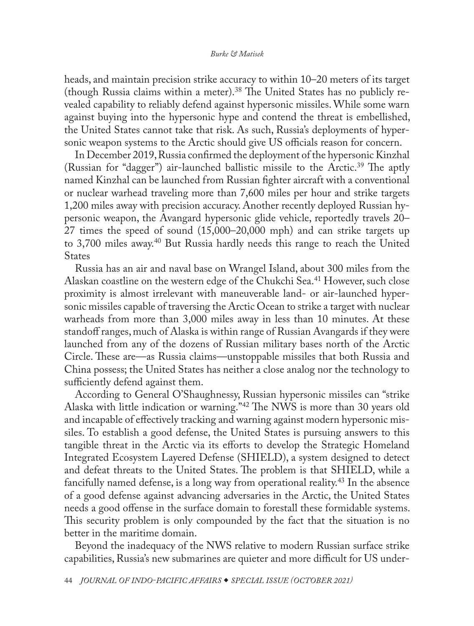<span id="page-8-0"></span>heads, and maintain precision strike accuracy to within 10–20 meters of its target (though Russia claims within a meter)[.38](#page-26-0) The United States has no publicly revealed capability to reliably defend against hypersonic missiles. While some warn against buying into the hypersonic hype and contend the threat is embellished, the United States cannot take that risk. As such, Russia's deployments of hypersonic weapon systems to the Arctic should give US officials reason for concern.

In December 2019, Russia confirmed the deployment of the hypersonic Kinzhal (Russian for "dagger") air-launched ballistic missile to the Arctic.<sup>39</sup> The aptly named Kinzhal can be launched from Russian fighter aircraft with a conventional or nuclear warhead traveling more than 7,600 miles per hour and strike targets 1,200 miles away with precision accuracy. Another recently deployed Russian hypersonic weapon, the Avangard hypersonic glide vehicle, reportedly travels 20– 27 times the speed of sound (15,000–20,000 mph) and can strike targets up to 3,700 miles away.[40](#page-26-0) But Russia hardly needs this range to reach the United States

Russia has an air and naval base on Wrangel Island, about 300 miles from the Alaskan coastline on the western edge of the Chukchi Sea[.41](#page-27-0) However, such close proximity is almost irrelevant with maneuverable land- or air-launched hypersonic missiles capable of traversing the Arctic Ocean to strike a target with nuclear warheads from more than 3,000 miles away in less than 10 minutes. At these standoff ranges, much of Alaska is within range of Russian Avangards if they were launched from any of the dozens of Russian military bases north of the Arctic Circle. These are—as Russia claims—unstoppable missiles that both Russia and China possess; the United States has neither a close analog nor the technology to sufficiently defend against them.

According to General O'Shaughnessy, Russian hypersonic missiles can "strike Alaska with little indication or warning.["42](#page-27-0) The NWS is more than 30 years old and incapable of effectively tracking and warning against modern hypersonic missiles. To establish a good defense, the United States is pursuing answers to this tangible threat in the Arctic via its efforts to develop the Strategic Homeland Integrated Ecosystem Layered Defense (SHIELD), a system designed to detect and defeat threats to the United States. The problem is that SHIELD, while a fancifully named defense, is a long way from operational reality.<sup>[43](#page-27-0)</sup> In the absence of a good defense against advancing adversaries in the Arctic, the United States needs a good offense in the surface domain to forestall these formidable systems. This security problem is only compounded by the fact that the situation is no better in the maritime domain.

Beyond the inadequacy of the NWS relative to modern Russian surface strike capabilities, Russia's new submarines are quieter and more difficult for US under-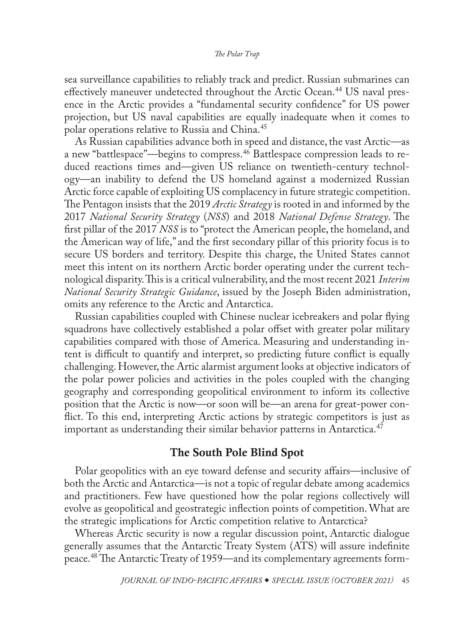<span id="page-9-0"></span>sea surveillance capabilities to reliably track and predict. Russian submarines can effectively maneuver undetected throughout the Arctic Ocean.<sup>44</sup> US naval presence in the Arctic provides a "fundamental security confidence" for US power projection, but US naval capabilities are equally inadequate when it comes to polar operations relative to Russia and China.[45](#page-27-0)

As Russian capabilities advance both in speed and distance, the vast Arctic—as a new "battlespace"—begins to compress.[46](#page-27-0) Battlespace compression leads to reduced reactions times and—given US reliance on twentieth-century technology—an inability to defend the US homeland against a modernized Russian Arctic force capable of exploiting US complacency in future strategic competition. The Pentagon insists that the 2019 *Arctic Strategy* is rooted in and informed by the 2017 *National Security Strategy* (*NSS*) and 2018 *National Defense Strategy*. The first pillar of the 2017 *NSS* is to "protect the American people, the homeland, and the American way of life," and the first secondary pillar of this priority focus is to secure US borders and territory. Despite this charge, the United States cannot meet this intent on its northern Arctic border operating under the current technological disparity. This is a critical vulnerability, and the most recent 2021 *Interim National Security Strategic Guidance*, issued by the Joseph Biden administration, omits any reference to the Arctic and Antarctica.

Russian capabilities coupled with Chinese nuclear icebreakers and polar flying squadrons have collectively established a polar offset with greater polar military capabilities compared with those of America. Measuring and understanding intent is difficult to quantify and interpret, so predicting future conflict is equally challenging. However, the Artic alarmist argument looks at objective indicators of the polar power policies and activities in the poles coupled with the changing geography and corresponding geopolitical environment to inform its collective position that the Arctic is now—or soon will be—an arena for great-power conflict. To this end, interpreting Arctic actions by strategic competitors is just as important as understanding their similar behavior patterns in Antarctica.<sup>[47](#page-27-0)</sup>

# The South Pole Blind Spot

Polar geopolitics with an eye toward defense and security affairs—inclusive of both the Arctic and Antarctica—is not a topic of regular debate among academics and practitioners. Few have questioned how the polar regions collectively will evolve as geopolitical and geostrategic inflection points of competition. What are the strategic implications for Arctic competition relative to Antarctica?

Whereas Arctic security is now a regular discussion point, Antarctic dialogue generally assumes that the Antarctic Treaty System (ATS) will assure indefinite peace[.48](#page-27-0) The Antarctic Treaty of 1959—and its complementary agreements form-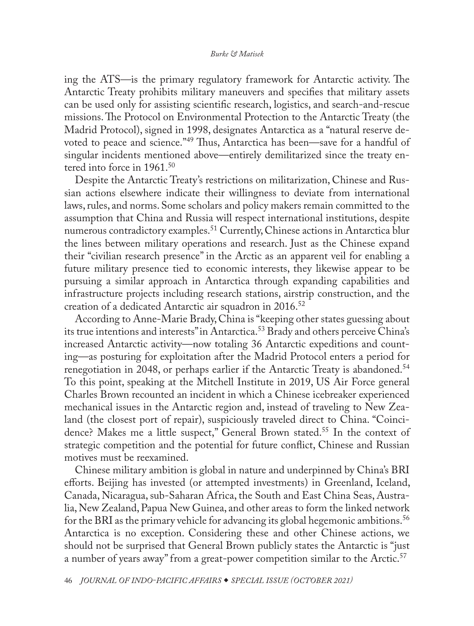<span id="page-10-0"></span>ing the ATS—is the primary regulatory framework for Antarctic activity. The Antarctic Treaty prohibits military maneuvers and specifies that military assets can be used only for assisting scientific research, logistics, and search-and-rescue missions. The Protocol on Environmental Protection to the Antarctic Treaty (the Madrid Protocol), signed in 1998, designates Antarctica as a "natural reserve devoted to peace and science."[49](#page-27-0) Thus, Antarctica has been—save for a handful of singular incidents mentioned above—entirely demilitarized since the treaty entered into force in 1961.<sup>50</sup>

Despite the Antarctic Treaty's restrictions on militarization, Chinese and Russian actions elsewhere indicate their willingness to deviate from international laws, rules, and norms. Some scholars and policy makers remain committed to the assumption that China and Russia will respect international institutions, despite numerous contradictory examples.<sup>51</sup> Currently, Chinese actions in Antarctica blur the lines between military operations and research. Just as the Chinese expand their "civilian research presence" in the Arctic as an apparent veil for enabling a future military presence tied to economic interests, they likewise appear to be pursuing a similar approach in Antarctica through expanding capabilities and infrastructure projects including research stations, airstrip construction, and the creation of a dedicated Antarctic air squadron in 2016.<sup>[52](#page-27-0)</sup>

According to Anne-Marie Brady, China is "keeping other states guessing about its true intentions and interests" in Antarctica.<sup>53</sup> Brady and others perceive China's increased Antarctic activity—now totaling 36 Antarctic expeditions and counting—as posturing for exploitation after the Madrid Protocol enters a period for renegotiation in 2048, or perhaps earlier if the Antarctic Treaty is abandoned.<sup>54</sup> To this point, speaking at the Mitchell Institute in 2019, US Air Force general Charles Brown recounted an incident in which a Chinese icebreaker experienced mechanical issues in the Antarctic region and, instead of traveling to New Zealand (the closest port of repair), suspiciously traveled direct to China. "Coincidence? Makes me a little suspect," General Brown stated.<sup>55</sup> In the context of strategic competition and the potential for future conflict, Chinese and Russian motives must be reexamined.

Chinese military ambition is global in nature and underpinned by China's BRI efforts. Beijing has invested (or attempted investments) in Greenland, Iceland, Canada, Nicaragua, sub-Saharan Africa, the South and East China Seas, Australia, New Zealand, Papua New Guinea, and other areas to form the linked network for the BRI as the primary vehicle for advancing its global hegemonic ambitions.<sup>[56](#page-28-0)</sup> Antarctica is no exception. Considering these and other Chinese actions, we should not be surprised that General Brown publicly states the Antarctic is "just a number of years away" from a great-power competition similar to the Arctic.<sup>[57](#page-28-0)</sup>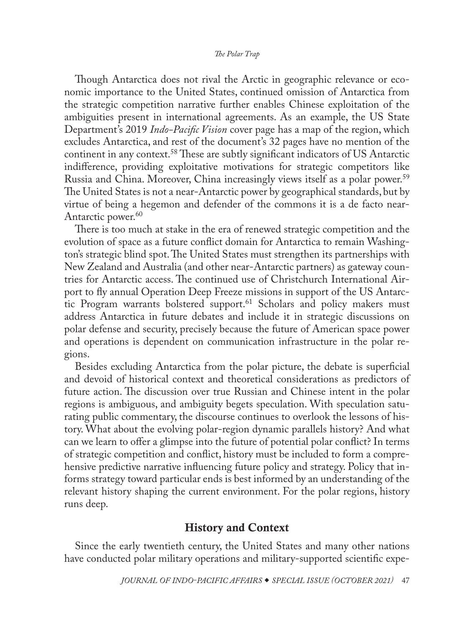<span id="page-11-0"></span>Though Antarctica does not rival the Arctic in geographic relevance or economic importance to the United States, continued omission of Antarctica from the strategic competition narrative further enables Chinese exploitation of the ambiguities present in international agreements. As an example, the US State Department's 2019 *Indo-Pacific Vision* cover page has a map of the region, which excludes Antarctica, and rest of the document's 32 pages have no mention of the continent in any context.[58](#page-28-0) These are subtly significant indicators of US Antarctic indifference, providing exploitative motivations for strategic competitors like Russia and China. Moreover, China increasingly views itself as a polar power.<sup>59</sup> The United States is not a near-Antarctic power by geographical standards, but by virtue of being a hegemon and defender of the commons it is a de facto near-Antarctic power.<sup>[60](#page-28-0)</sup>

There is too much at stake in the era of renewed strategic competition and the evolution of space as a future conflict domain for Antarctica to remain Washington's strategic blind spot. The United States must strengthen its partnerships with New Zealand and Australia (and other near-Antarctic partners) as gateway countries for Antarctic access. The continued use of Christchurch International Airport to fly annual Operation Deep Freeze missions in support of the US Antarctic Program warrants bolstered support.<sup>61</sup> Scholars and policy makers must address Antarctica in future debates and include it in strategic discussions on polar defense and security, precisely because the future of American space power and operations is dependent on communication infrastructure in the polar regions.

Besides excluding Antarctica from the polar picture, the debate is superficial and devoid of historical context and theoretical considerations as predictors of future action. The discussion over true Russian and Chinese intent in the polar regions is ambiguous, and ambiguity begets speculation. With speculation saturating public commentary, the discourse continues to overlook the lessons of history. What about the evolving polar-region dynamic parallels history? And what can we learn to offer a glimpse into the future of potential polar conflict? In terms of strategic competition and conflict, history must be included to form a comprehensive predictive narrative influencing future policy and strategy. Policy that informs strategy toward particular ends is best informed by an understanding of the relevant history shaping the current environment. For the polar regions, history runs deep.

# History and Context

Since the early twentieth century, the United States and many other nations have conducted polar military operations and military-supported scientific expe-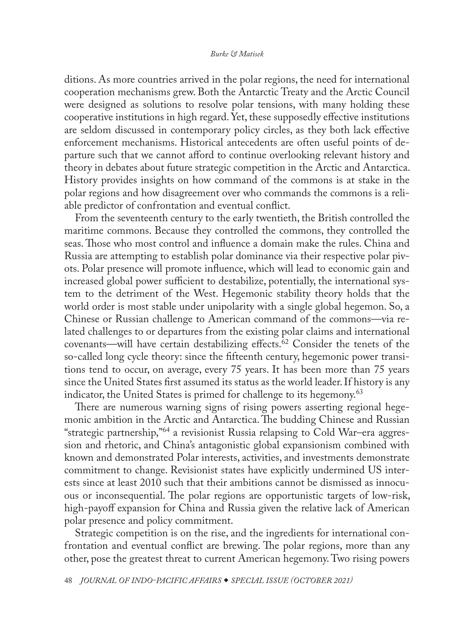<span id="page-12-0"></span>ditions. As more countries arrived in the polar regions, the need for international cooperation mechanisms grew. Both the Antarctic Treaty and the Arctic Council were designed as solutions to resolve polar tensions, with many holding these cooperative institutions in high regard. Yet, these supposedly effective institutions are seldom discussed in contemporary policy circles, as they both lack effective enforcement mechanisms. Historical antecedents are often useful points of departure such that we cannot afford to continue overlooking relevant history and theory in debates about future strategic competition in the Arctic and Antarctica. History provides insights on how command of the commons is at stake in the polar regions and how disagreement over who commands the commons is a reliable predictor of confrontation and eventual conflict.

From the seventeenth century to the early twentieth, the British controlled the maritime commons. Because they controlled the commons, they controlled the seas. Those who most control and influence a domain make the rules. China and Russia are attempting to establish polar dominance via their respective polar pivots. Polar presence will promote influence, which will lead to economic gain and increased global power sufficient to destabilize, potentially, the international system to the detriment of the West. Hegemonic stability theory holds that the world order is most stable under unipolarity with a single global hegemon. So, a Chinese or Russian challenge to American command of the commons—via related challenges to or departures from the existing polar claims and international covenants—will have certain destabilizing effects.[62](#page-28-0) Consider the tenets of the so-called long cycle theory: since the fifteenth century, hegemonic power transitions tend to occur, on average, every 75 years. It has been more than 75 years since the United States first assumed its status as the world leader. If history is any indicator, the United States is primed for challenge to its hegemony.<sup>[63](#page-28-0)</sup>

There are numerous warning signs of rising powers asserting regional hegemonic ambition in the Arctic and Antarctica. The budding Chinese and Russian "strategic partnership,"[64](#page-28-0) a revisionist Russia relapsing to Cold War–era aggression and rhetoric, and China's antagonistic global expansionism combined with known and demonstrated Polar interests, activities, and investments demonstrate commitment to change. Revisionist states have explicitly undermined US interests since at least 2010 such that their ambitions cannot be dismissed as innocuous or inconsequential. The polar regions are opportunistic targets of low-risk, high-payoff expansion for China and Russia given the relative lack of American polar presence and policy commitment.

Strategic competition is on the rise, and the ingredients for international confrontation and eventual conflict are brewing. The polar regions, more than any other, pose the greatest threat to current American hegemony. Two rising powers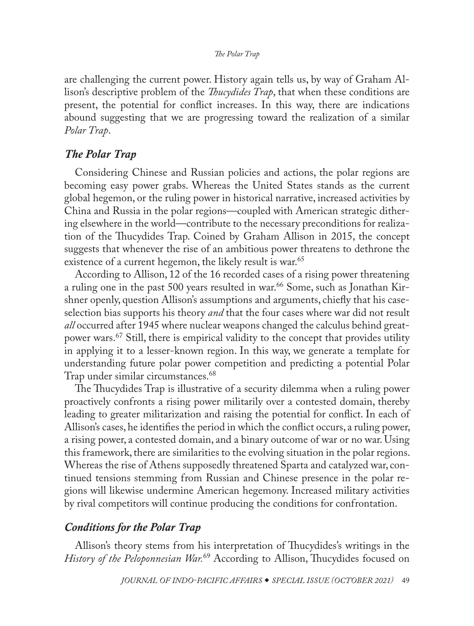<span id="page-13-0"></span>are challenging the current power. History again tells us, by way of Graham Allison's descriptive problem of the *Thucydides Trap*, that when these conditions are present, the potential for conflict increases. In this way, there are indications abound suggesting that we are progressing toward the realization of a similar *Polar Trap*.

# *The Polar Trap*

Considering Chinese and Russian policies and actions, the polar regions are becoming easy power grabs. Whereas the United States stands as the current global hegemon, or the ruling power in historical narrative, increased activities by China and Russia in the polar regions—coupled with American strategic dithering elsewhere in the world—contribute to the necessary preconditions for realization of the Thucydides Trap. Coined by Graham Allison in 2015, the concept suggests that whenever the rise of an ambitious power threatens to dethrone the existence of a current hegemon, the likely result is war.<sup>[65](#page-28-0)</sup>

According to Allison, 12 of the 16 recorded cases of a rising power threatening a ruling one in the past 500 years resulted in war.<sup>66</sup> Some, such as Jonathan Kirshner openly, question Allison's assumptions and arguments, chiefly that his caseselection bias supports his theory *and* that the four cases where war did not result *all* occurred after 1945 where nuclear weapons changed the calculus behind great-power wars.<sup>[67](#page-28-0)</sup> Still, there is empirical validity to the concept that provides utility in applying it to a lesser-known region. In this way, we generate a template for understanding future polar power competition and predicting a potential Polar Trap under similar circumstances.<sup>68</sup>

The Thucydides Trap is illustrative of a security dilemma when a ruling power proactively confronts a rising power militarily over a contested domain, thereby leading to greater militarization and raising the potential for conflict. In each of Allison's cases, he identifies the period in which the conflict occurs, a ruling power, a rising power, a contested domain, and a binary outcome of war or no war. Using this framework, there are similarities to the evolving situation in the polar regions. Whereas the rise of Athens supposedly threatened Sparta and catalyzed war, continued tensions stemming from Russian and Chinese presence in the polar regions will likewise undermine American hegemony. Increased military activities by rival competitors will continue producing the conditions for confrontation.

# *Conditions for the Polar Trap*

Allison's theory stems from his interpretation of Thucydides's writings in the *History of the Peloponnesian War.*[69](#page-28-0) According to Allison, Thucydides focused on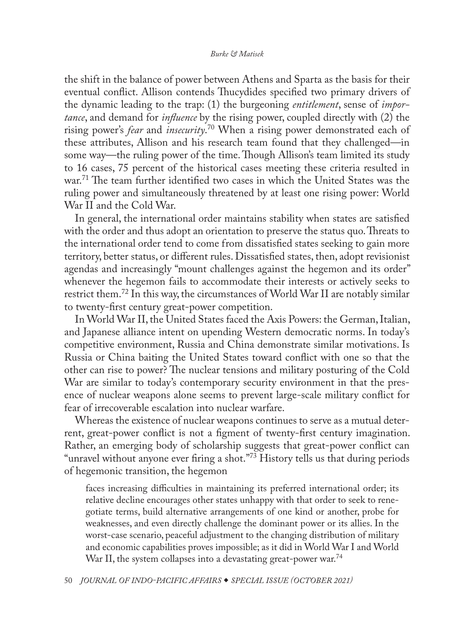<span id="page-14-0"></span>the shift in the balance of power between Athens and Sparta as the basis for their eventual conflict. Allison contends Thucydides specified two primary drivers of the dynamic leading to the trap: (1) the burgeoning *entitlement*, sense of *importance*, and demand for *influence* by the rising power, coupled directly with (2) the rising power's *fear* and *insecurity*. [70](#page-28-0) When a rising power demonstrated each of these attributes, Allison and his research team found that they challenged—in some way—the ruling power of the time. Though Allison's team limited its study to 16 cases, 75 percent of the historical cases meeting these criteria resulted in war.<sup>71</sup> The team further identified two cases in which the United States was the ruling power and simultaneously threatened by at least one rising power: World War II and the Cold War.

In general, the international order maintains stability when states are satisfied with the order and thus adopt an orientation to preserve the status quo. Threats to the international order tend to come from dissatisfied states seeking to gain more territory, better status, or different rules. Dissatisfied states, then, adopt revisionist agendas and increasingly "mount challenges against the hegemon and its order" whenever the hegemon fails to accommodate their interests or actively seeks to restrict them.[72](#page-28-0) In this way, the circumstances of World War II are notably similar to twenty-first century great-power competition.

In World War II, the United States faced the Axis Powers: the German, Italian, and Japanese alliance intent on upending Western democratic norms. In today's competitive environment, Russia and China demonstrate similar motivations. Is Russia or China baiting the United States toward conflict with one so that the other can rise to power? The nuclear tensions and military posturing of the Cold War are similar to today's contemporary security environment in that the presence of nuclear weapons alone seems to prevent large-scale military conflict for fear of irrecoverable escalation into nuclear warfare.

Whereas the existence of nuclear weapons continues to serve as a mutual deterrent, great-power conflict is not a figment of twenty-first century imagination. Rather, an emerging body of scholarship suggests that great-power conflict can "unravel without anyone ever firing a shot."<sup>73</sup> History tells us that during periods of hegemonic transition, the hegemon

faces increasing difficulties in maintaining its preferred international order; its relative decline encourages other states unhappy with that order to seek to renegotiate terms, build alternative arrangements of one kind or another, probe for weaknesses, and even directly challenge the dominant power or its allies. In the worst-case scenario, peaceful adjustment to the changing distribution of military and economic capabilities proves impossible; as it did in World War I and World War II, the system collapses into a devastating great-power war.<sup>[74](#page-28-0)</sup>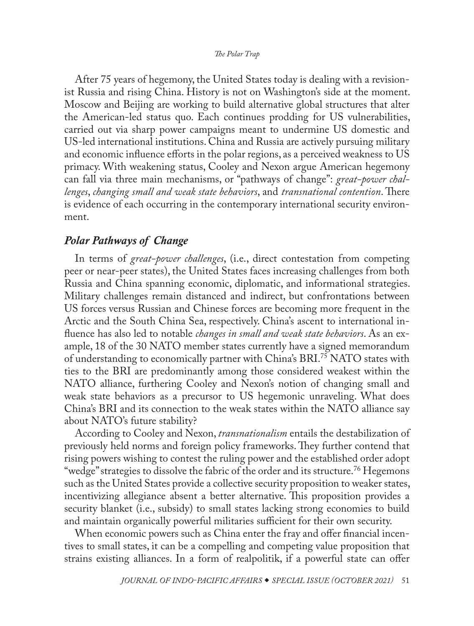<span id="page-15-0"></span>After 75 years of hegemony, the United States today is dealing with a revisionist Russia and rising China. History is not on Washington's side at the moment. Moscow and Beijing are working to build alternative global structures that alter the American-led status quo. Each continues prodding for US vulnerabilities, carried out via sharp power campaigns meant to undermine US domestic and US-led international institutions. China and Russia are actively pursuing military and economic influence efforts in the polar regions, as a perceived weakness to US primacy. With weakening status, Cooley and Nexon argue American hegemony can fall via three main mechanisms, or "pathways of change": *great-power challenges*, *changing small and weak state behaviors*, and *transnational contention*. There is evidence of each occurring in the contemporary international security environment.

# *Polar Pathways of Change*

In terms of *great-power challenges*, (i.e., direct contestation from competing peer or near-peer states), the United States faces increasing challenges from both Russia and China spanning economic, diplomatic, and informational strategies. Military challenges remain distanced and indirect, but confrontations between US forces versus Russian and Chinese forces are becoming more frequent in the Arctic and the South China Sea, respectively. China's ascent to international influence has also led to notable *changes in small and weak state behaviors*. As an example, 18 of the 30 NATO member states currently have a signed memorandum of understanding to economically partner with China's BRI[.75](#page-28-0) NATO states with ties to the BRI are predominantly among those considered weakest within the NATO alliance, furthering Cooley and Nexon's notion of changing small and weak state behaviors as a precursor to US hegemonic unraveling. What does China's BRI and its connection to the weak states within the NATO alliance say about NATO's future stability?

According to Cooley and Nexon, *transnationalism* entails the destabilization of previously held norms and foreign policy frameworks. They further contend that rising powers wishing to contest the ruling power and the established order adopt "wedge" strategies to dissolve the fabric of the order and its structure.<sup>[76](#page-28-0)</sup> Hegemons such as the United States provide a collective security proposition to weaker states, incentivizing allegiance absent a better alternative. This proposition provides a security blanket (i.e., subsidy) to small states lacking strong economies to build and maintain organically powerful militaries sufficient for their own security.

When economic powers such as China enter the fray and offer financial incentives to small states, it can be a compelling and competing value proposition that strains existing alliances. In a form of realpolitik, if a powerful state can offer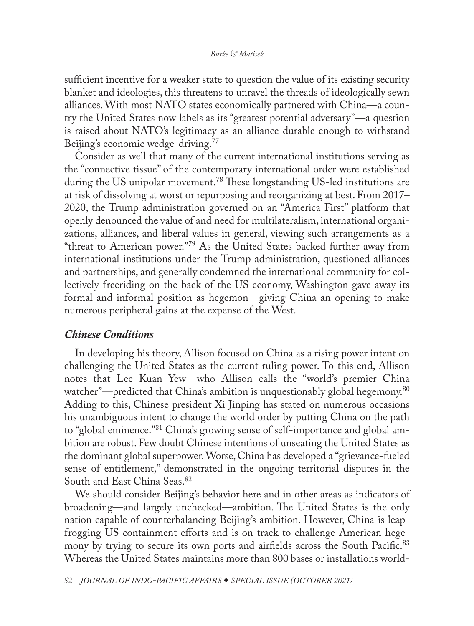<span id="page-16-0"></span>sufficient incentive for a weaker state to question the value of its existing security blanket and ideologies, this threatens to unravel the threads of ideologically sewn alliances. With most NATO states economically partnered with China—a country the United States now labels as its "greatest potential adversary"—a question is raised about NATO's legitimacy as an alliance durable enough to withstand Beijing's economic wedge-driving.<sup>77</sup>

Consider as well that many of the current international institutions serving as the "connective tissue" of the contemporary international order were established during the US unipolar movement.<sup>78</sup> These longstanding US-led institutions are at risk of dissolving at worst or repurposing and reorganizing at best. From 2017– 2020, the Trump administration governed on an "America First" platform that openly denounced the value of and need for multilateralism, international organizations, alliances, and liberal values in general, viewing such arrangements as a "threat to American power."[79](#page-29-0) As the United States backed further away from international institutions under the Trump administration, questioned alliances and partnerships, and generally condemned the international community for collectively freeriding on the back of the US economy, Washington gave away its formal and informal position as hegemon—giving China an opening to make numerous peripheral gains at the expense of the West.

### *Chinese Conditions*

In developing his theory, Allison focused on China as a rising power intent on challenging the United States as the current ruling power. To this end, Allison notes that Lee Kuan Yew—who Allison calls the "world's premier China watcher"—predicted that China's ambition is unquestionably global hegemony.<sup>[80](#page-29-0)</sup> Adding to this, Chinese president Xi Jinping has stated on numerous occasions his unambiguous intent to change the world order by putting China on the path to "global eminence.["81](#page-29-0) China's growing sense of self-importance and global ambition are robust. Few doubt Chinese intentions of unseating the United States as the dominant global superpower. Worse, China has developed a "grievance-fueled sense of entitlement," demonstrated in the ongoing territorial disputes in the South and East China Seas.<sup>[82](#page-29-0)</sup>

We should consider Beijing's behavior here and in other areas as indicators of broadening—and largely unchecked—ambition. The United States is the only nation capable of counterbalancing Beijing's ambition. However, China is leapfrogging US containment efforts and is on track to challenge American hegemony by trying to secure its own ports and airfields across the South Pacific.<sup>83</sup> Whereas the United States maintains more than 800 bases or installations world-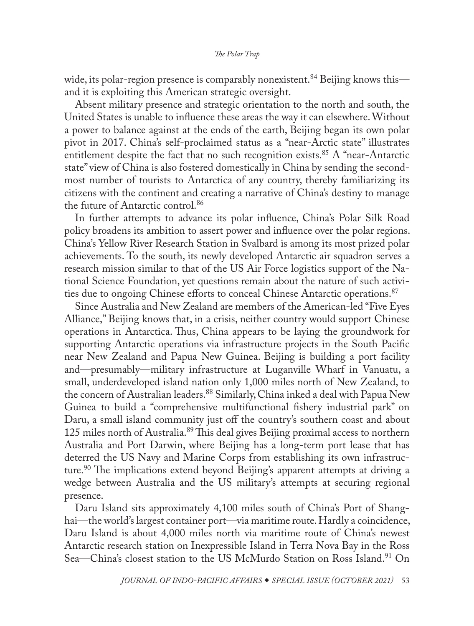<span id="page-17-0"></span>wide, its polar-region presence is comparably nonexistent.<sup>[84](#page-29-0)</sup> Beijing knows this and it is exploiting this American strategic oversight.

Absent military presence and strategic orientation to the north and south, the United States is unable to influence these areas the way it can elsewhere. Without a power to balance against at the ends of the earth, Beijing began its own polar pivot in 2017. China's self-proclaimed status as a "near-Arctic state" illustrates entitlement despite the fact that no such recognition exists.<sup>85</sup> A "near-Antarctic state" view of China is also fostered domestically in China by sending the secondmost number of tourists to Antarctica of any country, thereby familiarizing its citizens with the continent and creating a narrative of China's destiny to manage the future of Antarctic control.<sup>86</sup>

In further attempts to advance its polar influence, China's Polar Silk Road policy broadens its ambition to assert power and influence over the polar regions. China's Yellow River Research Station in Svalbard is among its most prized polar achievements. To the south, its newly developed Antarctic air squadron serves a research mission similar to that of the US Air Force logistics support of the National Science Foundation, yet questions remain about the nature of such activi-ties due to ongoing Chinese efforts to conceal Chinese Antarctic operations.<sup>[87](#page-29-0)</sup>

Since Australia and New Zealand are members of the American-led "Five Eyes Alliance," Beijing knows that, in a crisis, neither country would support Chinese operations in Antarctica. Thus, China appears to be laying the groundwork for supporting Antarctic operations via infrastructure projects in the South Pacific near New Zealand and Papua New Guinea. Beijing is building a port facility and—presumably—military infrastructure at Luganville Wharf in Vanuatu, a small, underdeveloped island nation only 1,000 miles north of New Zealand, to the concern of Australian leaders.<sup>88</sup> Similarly, China inked a deal with Papua New Guinea to build a "comprehensive multifunctional fishery industrial park" on Daru, a small island community just off the country's southern coast and about 125 miles north of Australia.<sup>89</sup> This deal gives Beijing proximal access to northern Australia and Port Darwin, where Beijing has a long-term port lease that has deterred the US Navy and Marine Corps from establishing its own infrastructure.<sup>90</sup> The implications extend beyond Beijing's apparent attempts at driving a wedge between Australia and the US military's attempts at securing regional presence.

Daru Island sits approximately 4,100 miles south of China's Port of Shanghai—the world's largest container port—via maritime route. Hardly a coincidence, Daru Island is about 4,000 miles north via maritime route of China's newest Antarctic research station on Inexpressible Island in Terra Nova Bay in the Ross Sea—China's closest station to the US McMurdo Station on Ross Island.<sup>91</sup> On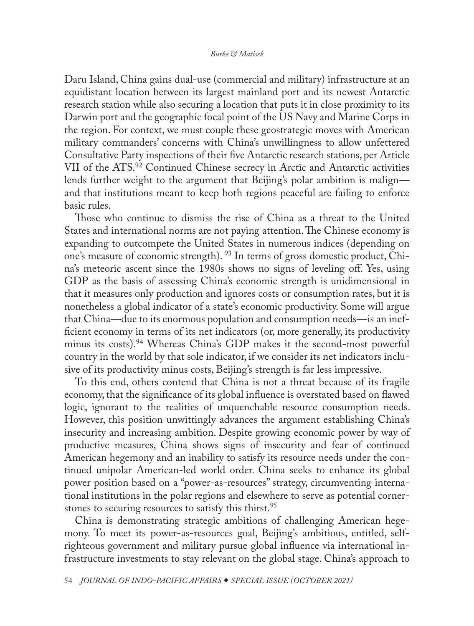<span id="page-18-0"></span>Daru Island, China gains dual-use (commercial and military) infrastructure at an equidistant location between its largest mainland port and its newest Antarctic research station while also securing a location that puts it in close proximity to its Darwin port and the geographic focal point of the US Navy and Marine Corps in the region. For context, we must couple these geostrategic moves with American military commanders' concerns with China's unwillingness to allow unfettered Consultative Party inspections of their five Antarctic research stations, per Article VII of the ATS.[92](#page-29-0) Continued Chinese secrecy in Arctic and Antarctic activities lends further weight to the argument that Beijing's polar ambition is malign and that institutions meant to keep both regions peaceful are failing to enforce basic rules.

Those who continue to dismiss the rise of China as a threat to the United States and international norms are not paying attention. The Chinese economy is expanding to outcompete the United States in numerous indices (depending on one's measure of economic strength). [93](#page-29-0) In terms of gross domestic product, China's meteoric ascent since the 1980s shows no signs of leveling off. Yes, using GDP as the basis of assessing China's economic strength is unidimensional in that it measures only production and ignores costs or consumption rates, but it is nonetheless a global indicator of a state's economic productivity. Some will argue that China—due to its enormous population and consumption needs—is an inefficient economy in terms of its net indicators (or, more generally, its productivity minus its costs).<sup>[94](#page-29-0)</sup> Whereas China's GDP makes it the second-most powerful country in the world by that sole indicator, if we consider its net indicators inclusive of its productivity minus costs, Beijing's strength is far less impressive.

To this end, others contend that China is not a threat because of its fragile economy, that the significance of its global influence is overstated based on flawed logic, ignorant to the realities of unquenchable resource consumption needs. However, this position unwittingly advances the argument establishing China's insecurity and increasing ambition. Despite growing economic power by way of productive measures, China shows signs of insecurity and fear of continued American hegemony and an inability to satisfy its resource needs under the continued unipolar American-led world order. China seeks to enhance its global power position based on a "power-as-resources" strategy, circumventing international institutions in the polar regions and elsewhere to serve as potential corner-stones to securing resources to satisfy this thirst.<sup>[95](#page-29-0)</sup>

China is demonstrating strategic ambitions of challenging American hegemony. To meet its power-as-resources goal, Beijing's ambitious, entitled, selfrighteous government and military pursue global influence via international infrastructure investments to stay relevant on the global stage. China's approach to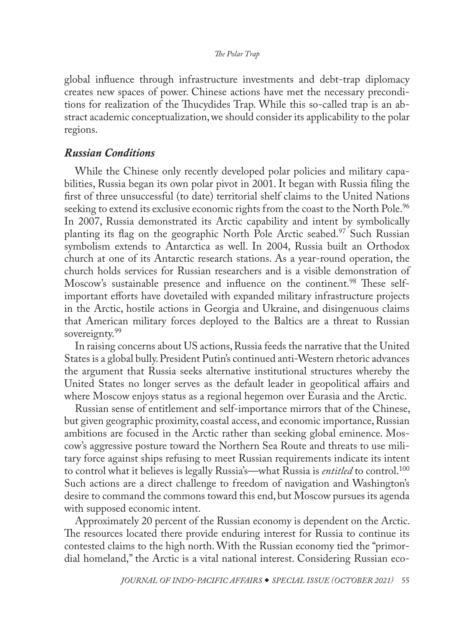<span id="page-19-0"></span>global influence through infrastructure investments and debt-trap diplomacy creates new spaces of power. Chinese actions have met the necessary preconditions for realization of the Thucydides Trap. While this so-called trap is an abstract academic conceptualization, we should consider its applicability to the polar regions.

# *Russian Conditions*

While the Chinese only recently developed polar policies and military capabilities, Russia began its own polar pivot in 2001. It began with Russia filing the first of three unsuccessful (to date) territorial shelf claims to the United Nations seeking to extend its exclusive economic rights from the coast to the North Pole.<sup>[96](#page-29-0)</sup> In 2007, Russia demonstrated its Arctic capability and intent by symbolically planting its flag on the geographic North Pole Arctic seabed.<sup>97</sup> Such Russian symbolism extends to Antarctica as well. In 2004, Russia built an Orthodox church at one of its Antarctic research stations. As a year-round operation, the church holds services for Russian researchers and is a visible demonstration of Moscow's sustainable presence and influence on the continent.<sup>[98](#page-29-0)</sup> These selfimportant efforts have dovetailed with expanded military infrastructure projects in the Arctic, hostile actions in Georgia and Ukraine, and disingenuous claims that American military forces deployed to the Baltics are a threat to Russian sovereignty.<sup>[99](#page-29-0)</sup>

In raising concerns about US actions, Russia feeds the narrative that the United States is a global bully. President Putin's continued anti-Western rhetoric advances the argument that Russia seeks alternative institutional structures whereby the United States no longer serves as the default leader in geopolitical affairs and where Moscow enjoys status as a regional hegemon over Eurasia and the Arctic.

Russian sense of entitlement and self-importance mirrors that of the Chinese, but given geographic proximity, coastal access, and economic importance, Russian ambitions are focused in the Arctic rather than seeking global eminence. Moscow's aggressive posture toward the Northern Sea Route and threats to use military force against ships refusing to meet Russian requirements indicate its intent to control what it believes is legally Russia's—what Russia is *entitled* to control[.100](#page-29-0) Such actions are a direct challenge to freedom of navigation and Washington's desire to command the commons toward this end, but Moscow pursues its agenda with supposed economic intent.

Approximately 20 percent of the Russian economy is dependent on the Arctic. The resources located there provide enduring interest for Russia to continue its contested claims to the high north. With the Russian economy tied the "primordial homeland," the Arctic is a vital national interest. Considering Russian eco-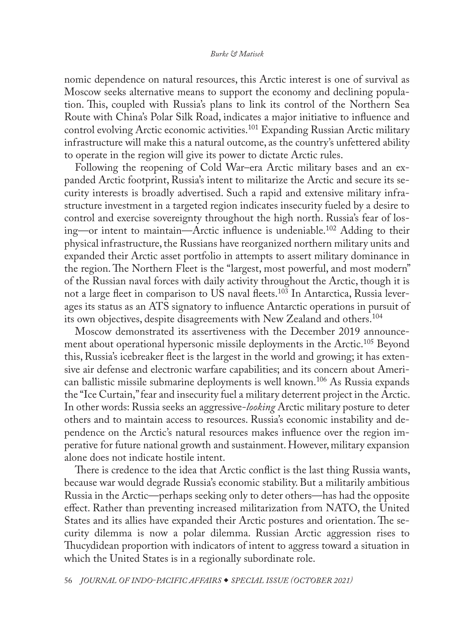<span id="page-20-0"></span>nomic dependence on natural resources, this Arctic interest is one of survival as Moscow seeks alternative means to support the economy and declining population. This, coupled with Russia's plans to link its control of the Northern Sea Route with China's Polar Silk Road, indicates a major initiative to influence and control evolving Arctic economic activities.<sup>101</sup> Expanding Russian Arctic military infrastructure will make this a natural outcome, as the country's unfettered ability to operate in the region will give its power to dictate Arctic rules.

Following the reopening of Cold War–era Arctic military bases and an expanded Arctic footprint, Russia's intent to militarize the Arctic and secure its security interests is broadly advertised. Such a rapid and extensive military infrastructure investment in a targeted region indicates insecurity fueled by a desire to control and exercise sovereignty throughout the high north. Russia's fear of losing—or intent to maintain—Arctic influence is undeniable.[102](#page-29-0) Adding to their physical infrastructure, the Russians have reorganized northern military units and expanded their Arctic asset portfolio in attempts to assert military dominance in the region. The Northern Fleet is the "largest, most powerful, and most modern" of the Russian naval forces with daily activity throughout the Arctic, though it is not a large fleet in comparison to US naval fleets[.103](#page-29-0) In Antarctica, Russia leverages its status as an ATS signatory to influence Antarctic operations in pursuit of its own objectives, despite disagreements with New Zealand and others.[104](#page-30-0)

Moscow demonstrated its assertiveness with the December 2019 announcement about operational hypersonic missile deployments in the Arctic[.105](#page-30-0) Beyond this, Russia's icebreaker fleet is the largest in the world and growing; it has extensive air defense and electronic warfare capabilities; and its concern about American ballistic missile submarine deployments is well known[.106](#page-30-0) As Russia expands the "Ice Curtain," fear and insecurity fuel a military deterrent project in the Arctic. In other words: Russia seeks an aggressive-*looking* Arctic military posture to deter others and to maintain access to resources. Russia's economic instability and dependence on the Arctic's natural resources makes influence over the region imperative for future national growth and sustainment. However, military expansion alone does not indicate hostile intent.

There is credence to the idea that Arctic conflict is the last thing Russia wants, because war would degrade Russia's economic stability. But a militarily ambitious Russia in the Arctic—perhaps seeking only to deter others—has had the opposite effect. Rather than preventing increased militarization from NATO, the United States and its allies have expanded their Arctic postures and orientation. The security dilemma is now a polar dilemma. Russian Arctic aggression rises to Thucydidean proportion with indicators of intent to aggress toward a situation in which the United States is in a regionally subordinate role.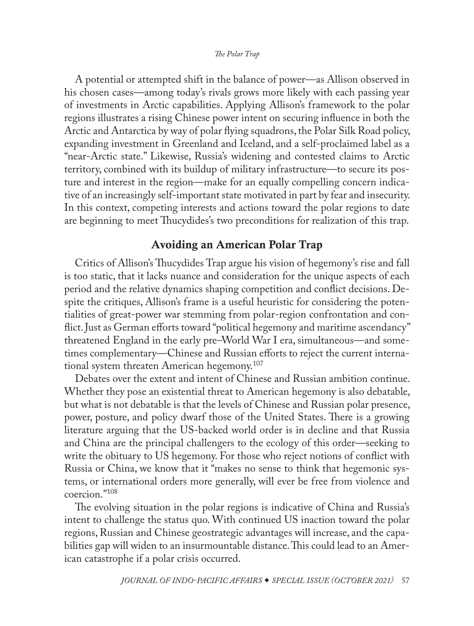<span id="page-21-0"></span>A potential or attempted shift in the balance of power—as Allison observed in his chosen cases—among today's rivals grows more likely with each passing year of investments in Arctic capabilities. Applying Allison's framework to the polar regions illustrates a rising Chinese power intent on securing influence in both the Arctic and Antarctica by way of polar flying squadrons, the Polar Silk Road policy, expanding investment in Greenland and Iceland, and a self-proclaimed label as a "near-Arctic state." Likewise, Russia's widening and contested claims to Arctic territory, combined with its buildup of military infrastructure—to secure its posture and interest in the region—make for an equally compelling concern indicative of an increasingly self-important state motivated in part by fear and insecurity. In this context, competing interests and actions toward the polar regions to date are beginning to meet Thucydides's two preconditions for realization of this trap.

# Avoiding an American Polar Trap

Critics of Allison's Thucydides Trap argue his vision of hegemony's rise and fall is too static, that it lacks nuance and consideration for the unique aspects of each period and the relative dynamics shaping competition and conflict decisions. Despite the critiques, Allison's frame is a useful heuristic for considering the potentialities of great-power war stemming from polar-region confrontation and conflict. Just as German efforts toward "political hegemony and maritime ascendancy" threatened England in the early pre–World War I era, simultaneous—and sometimes complementary—Chinese and Russian efforts to reject the current interna-tional system threaten American hegemony.<sup>[107](#page-30-0)</sup>

Debates over the extent and intent of Chinese and Russian ambition continue. Whether they pose an existential threat to American hegemony is also debatable, but what is not debatable is that the levels of Chinese and Russian polar presence, power, posture, and policy dwarf those of the United States. There is a growing literature arguing that the US-backed world order is in decline and that Russia and China are the principal challengers to the ecology of this order—seeking to write the obituary to US hegemony. For those who reject notions of conflict with Russia or China, we know that it "makes no sense to think that hegemonic systems, or international orders more generally, will ever be free from violence and coercion."[108](#page-30-0)

The evolving situation in the polar regions is indicative of China and Russia's intent to challenge the status quo. With continued US inaction toward the polar regions, Russian and Chinese geostrategic advantages will increase, and the capabilities gap will widen to an insurmountable distance. This could lead to an American catastrophe if a polar crisis occurred.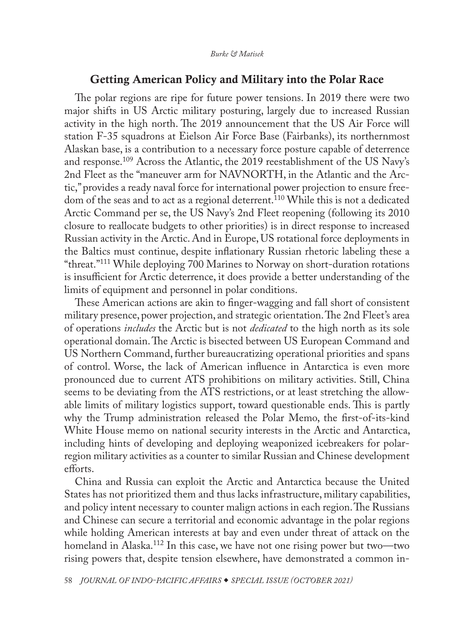### Getting American Policy and Military into the Polar Race

<span id="page-22-0"></span>The polar regions are ripe for future power tensions. In 2019 there were two major shifts in US Arctic military posturing, largely due to increased Russian activity in the high north. The 2019 announcement that the US Air Force will station F-35 squadrons at Eielson Air Force Base (Fairbanks), its northernmost Alaskan base, is a contribution to a necessary force posture capable of deterrence and response[.109](#page-30-0) Across the Atlantic, the 2019 reestablishment of the US Navy's 2nd Fleet as the "maneuver arm for NAVNORTH, in the Atlantic and the Arctic," provides a ready naval force for international power projection to ensure freedom of the seas and to act as a regional deterrent.<sup>110</sup> While this is not a dedicated Arctic Command per se, the US Navy's 2nd Fleet reopening (following its 2010 closure to reallocate budgets to other priorities) is in direct response to increased Russian activity in the Arctic. And in Europe, US rotational force deployments in the Baltics must continue, despite inflationary Russian rhetoric labeling these a "threat.["111](#page-30-0) While deploying 700 Marines to Norway on short-duration rotations is insufficient for Arctic deterrence, it does provide a better understanding of the limits of equipment and personnel in polar conditions.

These American actions are akin to finger-wagging and fall short of consistent military presence, power projection, and strategic orientation. The 2nd Fleet's area of operations *includes* the Arctic but is not *dedicated* to the high north as its sole operational domain. The Arctic is bisected between US European Command and US Northern Command, further bureaucratizing operational priorities and spans of control. Worse, the lack of American influence in Antarctica is even more pronounced due to current ATS prohibitions on military activities. Still, China seems to be deviating from the ATS restrictions, or at least stretching the allowable limits of military logistics support, toward questionable ends. This is partly why the Trump administration released the Polar Memo, the first-of-its-kind White House memo on national security interests in the Arctic and Antarctica, including hints of developing and deploying weaponized icebreakers for polarregion military activities as a counter to similar Russian and Chinese development efforts.

China and Russia can exploit the Arctic and Antarctica because the United States has not prioritized them and thus lacks infrastructure, military capabilities, and policy intent necessary to counter malign actions in each region. The Russians and Chinese can secure a territorial and economic advantage in the polar regions while holding American interests at bay and even under threat of attack on the homeland in Alaska.<sup>112</sup> In this case, we have not one rising power but two—two rising powers that, despite tension elsewhere, have demonstrated a common in-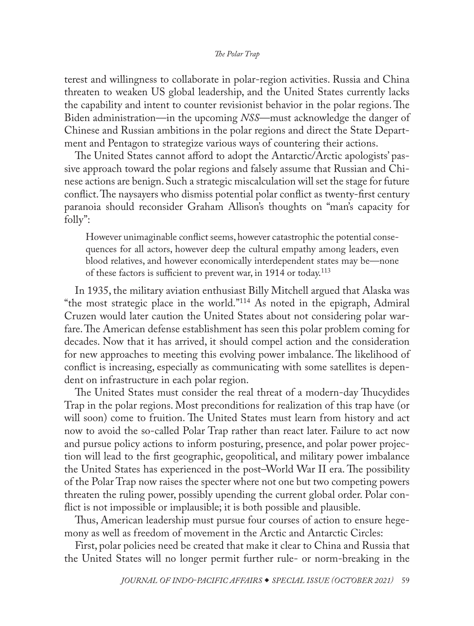<span id="page-23-0"></span>terest and willingness to collaborate in polar-region activities. Russia and China threaten to weaken US global leadership, and the United States currently lacks the capability and intent to counter revisionist behavior in the polar regions. The Biden administration—in the upcoming *NSS*—must acknowledge the danger of Chinese and Russian ambitions in the polar regions and direct the State Department and Pentagon to strategize various ways of countering their actions.

The United States cannot afford to adopt the Antarctic/Arctic apologists' passive approach toward the polar regions and falsely assume that Russian and Chinese actions are benign. Such a strategic miscalculation will set the stage for future conflict. The naysayers who dismiss potential polar conflict as twenty-first century paranoia should reconsider Graham Allison's thoughts on "man's capacity for folly":

However unimaginable conflict seems, however catastrophic the potential consequences for all actors, however deep the cultural empathy among leaders, even blood relatives, and however economically interdependent states may be—none of these factors is sufficient to prevent war, in 1914 or today.<sup>[113](#page-30-0)</sup>

In 1935, the military aviation enthusiast Billy Mitchell argued that Alaska was "the most strategic place in the world."[114](#page-30-0) As noted in the epigraph, Admiral Cruzen would later caution the United States about not considering polar warfare. The American defense establishment has seen this polar problem coming for decades. Now that it has arrived, it should compel action and the consideration for new approaches to meeting this evolving power imbalance. The likelihood of conflict is increasing, especially as communicating with some satellites is dependent on infrastructure in each polar region.

The United States must consider the real threat of a modern-day Thucydides Trap in the polar regions. Most preconditions for realization of this trap have (or will soon) come to fruition. The United States must learn from history and act now to avoid the so-called Polar Trap rather than react later. Failure to act now and pursue policy actions to inform posturing, presence, and polar power projection will lead to the first geographic, geopolitical, and military power imbalance the United States has experienced in the post–World War II era. The possibility of the Polar Trap now raises the specter where not one but two competing powers threaten the ruling power, possibly upending the current global order. Polar conflict is not impossible or implausible; it is both possible and plausible.

Thus, American leadership must pursue four courses of action to ensure hegemony as well as freedom of movement in the Arctic and Antarctic Circles:

First, polar policies need be created that make it clear to China and Russia that the United States will no longer permit further rule- or norm-breaking in the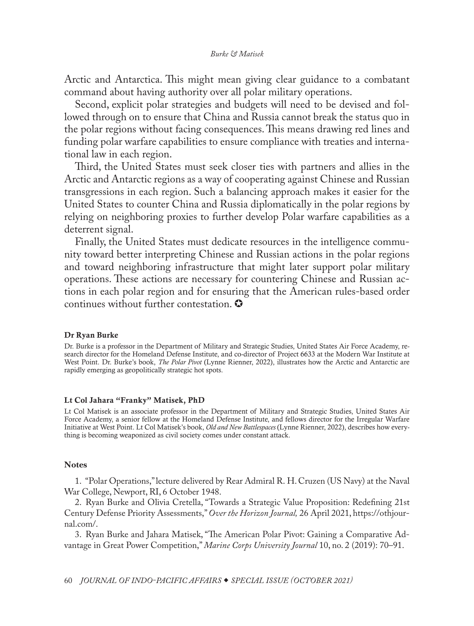<span id="page-24-0"></span>Arctic and Antarctica. This might mean giving clear guidance to a combatant command about having authority over all polar military operations.

Second, explicit polar strategies and budgets will need to be devised and followed through on to ensure that China and Russia cannot break the status quo in the polar regions without facing consequences. This means drawing red lines and funding polar warfare capabilities to ensure compliance with treaties and international law in each region.

Third, the United States must seek closer ties with partners and allies in the Arctic and Antarctic regions as a way of cooperating against Chinese and Russian transgressions in each region. Such a balancing approach makes it easier for the United States to counter China and Russia diplomatically in the polar regions by relying on neighboring proxies to further develop Polar warfare capabilities as a deterrent signal.

Finally, the United States must dedicate resources in the intelligence community toward better interpreting Chinese and Russian actions in the polar regions and toward neighboring infrastructure that might later support polar military operations. These actions are necessary for countering Chinese and Russian actions in each polar region and for ensuring that the American rules-based order continues without further contestation.  $\bullet$ 

#### Dr Ryan Burke

Dr. Burke is a professor in the Department of Military and Strategic Studies, United States Air Force Academy, research director for the Homeland Defense Institute, and co-director of Project 6633 at the Modern War Institute at West Point. Dr. Burke's book, *[The Polar Pivot](https://www.rienner.com/title/The_Polar_Pivot_Great_Power_Competition_in_the_Arctic_and_Antarctica)* (Lynne Rienner, 2022), illustrates how the Arctic and Antarctic are rapidly emerging as geopolitically strategic hot spots.

#### Lt Col Jahara "Franky" Matisek, PhD

[Lt Col Matisek is an associate professor in the Department of Military and Strategic Studies, United States Air](#page-0-0)  Force Academy, a senior fellow at the Homeland Defense Institute, and fellows director for the Irregular Warfare Initiative at West Point. Lt Col Matisek's book, *[Old and New Battlespaces](https://www.rienner.com/title/Old_and_New_Battlespaces_Society_Military_Power_and_War)* (Lynne Rienner, 2022), describes how everything is becoming weaponized as civil society comes under constant attack.

#### **Notes**

[1](#page-0-0). "Polar Operations," lecture delivered by Rear Admiral R. H. Cruzen (US Navy) at the Naval War College, Newport, RI, 6 October 1948.

[2](#page-0-0). Ryan Burke and Olivia Cretella, "Towards a Strategic Value Proposition: Redefining 21st Century Defense Priority Assessments," *Over the Horizon Journal,* 26 April 2021, [https://othjour](https://othjournal.com/2021/04/26/towards-a-strategic-value-proposition-redefining-21st-century-defense-priority-assessments/)[nal.com/](https://othjournal.com/2021/04/26/towards-a-strategic-value-proposition-redefining-21st-century-defense-priority-assessments/).

[3](#page-0-0). Ryan Burke and Jahara Matisek, "The American Polar Pivot: Gaining a Comparative Advantage in Great Power Competition," *Marine Corps University Journal* 10, no. 2 (2019): 70–91.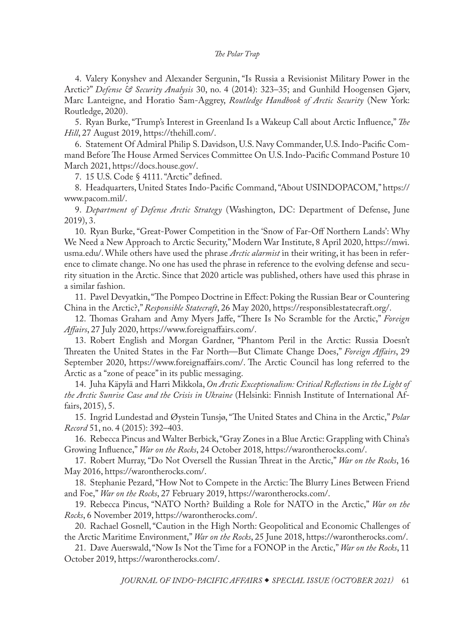<span id="page-25-0"></span>[4](#page-1-0). Valery Konyshev and Alexander Sergunin, "Is Russia a Revisionist Military Power in the Arctic?" *Defense & Security Analysis* 30, no. 4 (2014): 323–35; and Gunhild Hoogensen Gjørv, Marc Lanteigne, and Horatio Sam-Aggrey, *Routledge Handbook of Arctic Security* (New York: Routledge, 2020).

[5](#page-1-0). Ryan Burke, "Trump's Interest in Greenland Is a Wakeup Call about Arctic Influence," *The Hill*, 27 August 2019, [https://thehill.com/.](https://thehill.com/opinion/national-security/458823-trumps-interest-in-greenland-is-a-wakeup-call-about-arctic)

[6](#page-1-0). Statement Of Admiral Philip S. Davidson, U.S. Navy Commander, U.S. Indo-Pacific Command Before The House Armed Services Committee On U.S. Indo-Pacific Command Posture 10 March 2021, [https://docs.house.gov/.](https://docs.house.gov/meetings/AS/AS00/20210310/111316/HHRG-117-AS00-Wstate-DavidsonP-20210310.pdf)

[7](#page-1-0). 15 U.S. Code § 4111. "Arctic" defined.

[8](#page-1-0). Headquarters, United States Indo-Pacific Command, "About USINDOPACOM," [https://](https://www.pacom.mil/About-USINDOPACOM/) [www.pacom.mil/](https://www.pacom.mil/About-USINDOPACOM/).

[9](#page-1-0). *Department of Defense Arctic Strategy* (Washington, DC: Department of Defense, June 2019), 3.

[10](#page-2-0). Ryan Burke, "Great-Power Competition in the 'Snow of Far-Off Northern Lands': Why We Need a New Approach to Arctic Security," Modern War Institute, 8 April 2020, [https://mwi.](https://mwi.usma.edu/great-power-competition-snow-far-off-northern-lands-need-new-approach-arctic-security/) [usma.edu/.](https://mwi.usma.edu/great-power-competition-snow-far-off-northern-lands-need-new-approach-arctic-security/) While others have used the phrase *Arctic alarmist* in their writing, it has been in reference to climate change. No one has used the phrase in reference to the evolving defense and security situation in the Arctic. Since that 2020 article was published, others have used this phrase in a similar fashion.

[11](#page-2-0). Pavel Devyatkin, "The Pompeo Doctrine in Effect: Poking the Russian Bear or Countering China in the Arctic?," *Responsible Statecraft*, 26 May 2020, [https://responsiblestatecraft.org/](https://responsiblestatecraft.org/2020/05/26/the-pompeo-doctrine-in-effect-poking-the-russian-bear-or-countering-china-in-the-arctic/).

[12](#page-3-0). Thomas Graham and Amy Myers Jaffe, "There Is No Scramble for the Arctic," *Foreign Affairs*, 27 July 2020, [https://www.foreignaffairs.com/](https://www.foreignaffairs.com/articles/russian-federation/2020-07-27/there-no-scramble-arctic).

[13](#page-3-0). Robert English and Morgan Gardner, "Phantom Peril in the Arctic: Russia Doesn't Threaten the United States in the Far North—But Climate Change Does," *Foreign Affairs*, 29 September 2020, [https://www.foreignaffairs.com/.](https://www.foreignaffairs.com/articles/united-states/2020-09-29/phantom-peril-arctic) The Arctic Council has long referred to the Arctic as a "zone of peace" in its public messaging.

[14](#page-3-0). Juha Käpylä and Harri Mikkola, *On Arctic Exceptionalism: Critical Reflections in the Light of the Arctic Sunrise Case and the Crisis in Ukraine* (Helsinki: Finnish Institute of International Affairs, 2015), 5.

[15](#page-3-0). Ingrid Lundestad and Øystein Tunsjø, "The United States and China in the Arctic," *Polar Record* 51, no. 4 (2015): 392–403.

[16](#page-3-0). Rebecca Pincus and Walter Berbick, "Gray Zones in a Blue Arctic: Grappling with China's Growing Influence," *War on the Rocks*, 24 October 2018, [https://warontherocks.com/.](https://warontherocks.com/2018/10/gray-zones-in-a-blue-arctic-grappling-with-chinas-growing-influence/)

[17](#page-3-0). Robert Murray, "Do Not Oversell the Russian Threat in the Arctic," *War on the Rocks*, 16 May 2016, [https://warontherocks.com/](https://warontherocks.com/2016/05/do-not-oversell-the-russian-threat-in-the-arctic/).

[18](#page-3-0). Stephanie Pezard, "How Not to Compete in the Arctic: The Blurry Lines Between Friend and Foe," *War on the Rocks*, 27 February 2019, [https://warontherocks.com/.](https://warontherocks.com/2019/02/how-not-to-compete-in-the-arctic-the-blurry-lines-between-friend-and-foe/)

[19](#page-3-0). Rebecca Pincus, "NATO North? Building a Role for NATO in the Arctic," *War on the Rocks*, 6 November 2019, [https://warontherocks.com/.](https://warontherocks.com/2019/11/nato-north-building-a-role-for-nato-in-the-arctic/)

[20](#page-4-0). Rachael Gosnell, "Caution in the High North: Geopolitical and Economic Challenges of the Arctic Maritime Environment," *War on the Rocks*, 25 June 2018, [https://warontherocks.com/.](https://warontherocks.com/2018/06/caution-in-the-high-north-geopolitical-and-economic-challenges-of-the-arctic-maritime-environment/)

[21](#page-4-0). Dave Auerswald, "Now Is Not the Time for a FONOP in the Arctic," *War on the Rocks*, 11 October 2019, [https://warontherocks.com/.](https://warontherocks.com/2019/10/now-is-not-the-time-for-a-fonop-in-the-arctic/)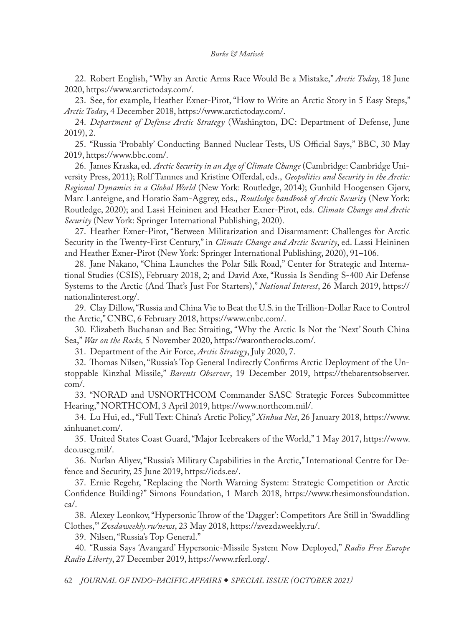<span id="page-26-0"></span>[22](#page-4-0). Robert English, "Why an Arctic Arms Race Would Be a Mistake," *Arctic Today*, 18 June 2020, [https://www.arctictoday.com/.](https://www.arctictoday.com/why-an-arctic-arms-race-would-be-a-mistake/)

[23](#page-4-0). See, for example, Heather Exner-Pirot, "How to Write an Arctic Story in 5 Easy Steps," *Arctic Today*, 4 December 2018, [https://www.arctictoday.com/](https://www.arctictoday.com/write-arctic-story-5-easy-steps/).

[24](#page-4-0). *Department of Defense Arctic Strategy* (Washington, DC: Department of Defense, June 2019), 2.

[25](#page-5-0). "Russia 'Probably' Conducting Banned Nuclear Tests, US Official Says," BBC, 30 May 2019, [https://www.bbc.com/](http://www.bbc.com/news/world-us-canada-48454680).

[26](#page-5-0). James Kraska, ed. *Arctic Security in an Age of Climate Change* (Cambridge: Cambridge University Press, 2011); Rolf Tamnes and Kristine Offerdal, eds., *Geopolitics and Security in the Arctic: Regional Dynamics in a Global World* (New York: Routledge, 2014); Gunhild Hoogensen Gjørv, Marc Lanteigne, and Horatio Sam-Aggrey, eds., *Routledge handbook of Arctic Security* (New York: Routledge, 2020); and Lassi Heininen and Heather Exner-Pirot, eds. *Climate Change and Arctic Security* (New York: Springer International Publishing, 2020).

[27](#page-5-0). Heather Exner-Pirot, "Between Militarization and Disarmament: Challenges for Arctic Security in the Twenty-First Century," in *Climate Change and Arctic Security*, ed. Lassi Heininen and Heather Exner-Pirot (New York: Springer International Publishing, 2020), 91–106.

[28](#page-6-0). Jane Nakano, "China Launches the Polar Silk Road," Center for Strategic and International Studies (CSIS), February 2018, 2; and David Axe, "Russia Is Sending S-400 Air Defense Systems to the Arctic (And That's Just For Starters)," *National Interest*, 26 March 2019, [https://](https://nationalinterest.org/blog/buzz/russia-sending-s-400-air-defense-systems-arctic-and-thats-just-starters-49247) [nationalinterest.org/.](https://nationalinterest.org/blog/buzz/russia-sending-s-400-air-defense-systems-arctic-and-thats-just-starters-49247)

[29](#page-6-0). Clay Dillow, "Russia and China Vie to Beat the U.S. in the Trillion-Dollar Race to Control the Arctic," CNBC, 6 February 2018, [https://www.cnbc.com/](http://www.cnbc.com/2018/02/06/russia-and-china-battle-us-in-race-to-control-arctic.html).

[30](#page-6-0). Elizabeth Buchanan and Bec Straiting, "Why the Arctic Is Not the 'Next' South China Sea," *War on the Rocks,* 5 November 2020, [https://warontherocks.com/.](https://warontherocks.com/2020/11/why-the-arctic-is-not-the-next-south-china-sea/)

[31](#page-6-0). Department of the Air Force, *Arctic Strategy*, July 2020, 7.

[32](#page-6-0). Thomas Nilsen, "Russia's Top General Indirectly Confirms Arctic Deployment of the Unstoppable Kinzhal Missile," *Barents Observer*, 19 December 2019, [https://thebarentsobserver.](https://thebarentsobserver.com/en/security/2019/12/russias-top-general-indirectly-confirms-arctic-deployment-unstoppable-missile) [com/.](https://thebarentsobserver.com/en/security/2019/12/russias-top-general-indirectly-confirms-arctic-deployment-unstoppable-missile)

[33](#page-6-0). "NORAD and USNORTHCOM Commander SASC Strategic Forces Subcommittee Hearing," NORTHCOM, 3 April 2019, [https://www.northcom.mil/](https://www.northcom.mil/Newsroom/Speeches/Article/1845843/norad-and-usnorthcom-commander-sasc-strategic-forces-subcommittee-hearing/).

[34](#page-7-0). Lu Hui, ed., "Full Text: China's Arctic Policy," *Xinhua Net*, 26 January 2018, [https://www.](https://www.xinhuanet.com/english/2018-01/26/c_136926498.htm) [xinhuanet.com/.](https://www.xinhuanet.com/english/2018-01/26/c_136926498.htm)

[35](#page-7-0). United States Coast Guard, "Major Icebreakers of the World," 1 May 2017, [https://www.](https://www.dco.uscg.mil/Portals/9/DCO%20Documents/Office%20of%20Waterways%20and%20Ocean%20Policy/20170501%20major%20icebreaker%20chart.pdf?ver=2017-06-08-091723-907) [dco.uscg.mil/](https://www.dco.uscg.mil/Portals/9/DCO%20Documents/Office%20of%20Waterways%20and%20Ocean%20Policy/20170501%20major%20icebreaker%20chart.pdf?ver=2017-06-08-091723-907).

[36](#page-7-0). Nurlan Aliyev, "Russia's Military Capabilities in the Arctic," International Centre for Defence and Security, 25 June 2019, [https://icds.ee/](https://icds.ee/russias-military-capabilities-in-the-arctic/).

[37](#page-7-0). Ernie Regehr, "Replacing the North Warning System: Strategic Competition or Arctic Confidence Building?" Simons Foundation, 1 March 2018, [https://www.thesimonsfoundation.](https://www.thesimonsfoundation.ca/highlights/replacing-north-warning-system-strategic-competition-or-arctic-confidence-building) [ca/.](https://www.thesimonsfoundation.ca/highlights/replacing-north-warning-system-strategic-competition-or-arctic-confidence-building)

[38](#page-8-0). Alexey Leonkov, "Hypersonic Throw of the 'Dagger': Competitors Are Still in 'Swaddling Clothes,'" *Zvsdaweekly.ru/news*, 23 May 2018, [https://zvezdaweekly.ru/](https://zvezdaweekly.ru/news/t/20185211547-L3aOs.html).

[39](#page-8-0). Nilsen, "Russia's Top General."

[40](#page-8-0). "Russia Says 'Avangard' Hypersonic-Missile System Now Deployed," *Radio Free Europe Radio Liberty*, 27 December 2019, [https://www.rferl.org/.](https://www.rferl.org/a/russia-says-avangard-hypersonic-missile-system-now-deployed/30347625.html)

62 *JOURNAL OF INDO-PACIFIC AFFAIRS SPECIAL ISSUE (OCTOBER 2021)*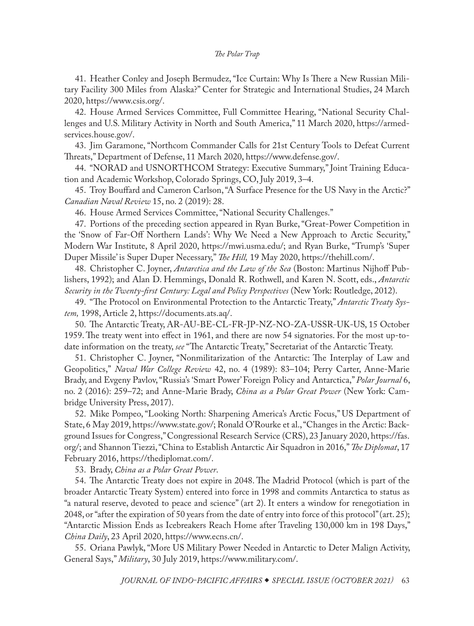<span id="page-27-0"></span>[41](#page-8-0). Heather Conley and Joseph Bermudez, "Ice Curtain: Why Is There a New Russian Military Facility 300 Miles from Alaska?" Center for Strategic and International Studies, 24 March 2020, [https://www.csis.org/.](https://www.csis.org/analysis/ice-curtain-why-there-new-russian-military-facility-300-miles-alaska)

[42](#page-8-0). House Armed Services Committee, Full Committee Hearing, "National Security Challenges and U.S. Military Activity in North and South America," 11 March 2020, [https://armed](https://armedservices.house.gov/hearings?ID=8313A04A-DB88-4037-9811-925864674E14)[services.house.gov/](https://armedservices.house.gov/hearings?ID=8313A04A-DB88-4037-9811-925864674E14).

[43](#page-8-0). Jim Garamone, "Northcom Commander Calls for 21st Century Tools to Defeat Current Threats," Department of Defense, 11 March 2020, [https://www.defense.gov/.](https://www.defense.gov/Explore/News/Article/Article/2109462/northcom-commander-calls-for-21st-century-tools-to-defeat-current-threats/)

[44](#page-9-0). "NORAD and USNORTHCOM Strategy: Executive Summary," Joint Training Education and Academic Workshop, Colorado Springs, CO, July 2019, 3–4.

[45](#page-9-0). Troy Bouffard and Cameron Carlson, "A Surface Presence for the US Navy in the Arctic?" *Canadian Naval Review* 15, no. 2 (2019): 28.

[46](#page-9-0). House Armed Services Committee, "National Security Challenges."

[47](#page-9-0). Portions of the preceding section appeared in Ryan Burke, "Great-Power Competition in the 'Snow of Far-Off Northern Lands': Why We Need a New Approach to Arctic Security," Modern War Institute, 8 April 2020, [https://mwi.usma.edu/;](https://mwi.usma.edu/great-power-competition-snow-far-off-northern-lands-need-new-approach-arctic-security/) and Ryan Burke, "Trump's 'Super Duper Missile' is Super Duper Necessary," *The Hill,* 19 May 2020, [https://thehill.com/](https://thehill.com/opinion/national-security/498274-trumps-super-duper-missile-is-super-duper-necessary).

[48](#page-9-0). Christopher C. Joyner, *Antarctica and the Law of the Sea* (Boston: Martinus Nijhoff Publishers, 1992); and Alan D. Hemmings, Donald R. Rothwell, and Karen N. Scott, eds., *Antarctic Security in the Twenty-first Century: Legal and Policy Perspectives* (New York: Routledge, 2012).

[49](#page-10-0). "The Protocol on Environmental Protection to the Antarctic Treaty," *Antarctic Treaty System,* 1998, Article 2, [https://documents.ats.aq/.](https://documents.ats.aq/cep/handbook/Protocol_e.pdf)

[50](#page-10-0). The Antarctic Treaty, AR-AU-BE-CL-FR-JP-NZ-NO-ZA-USSR-UK-US, 15 October 1959. The treaty went into effect in 1961, and there are now 54 signatories. For the most up-todate information on the treaty, *see* "The Antarctic Treaty," Secretariat of the Antarctic Treaty.

[51](#page-10-0). Christopher C. Joyner, "Nonmilitarization of the Antarctic: The Interplay of Law and Geopolitics," *Naval War College Review* 42, no. 4 (1989): 83–104; Perry Carter, Anne-Marie Brady, and Evgeny Pavlov, "Russia's 'Smart Power' Foreign Policy and Antarctica," *Polar Journal* 6, no. 2 (2016): 259–72; and Anne-Marie Brady, *China as a Polar Great Power* (New York: Cambridge University Press, 2017).

[52](#page-10-0). Mike Pompeo, "Looking North: Sharpening America's Arctic Focus," US Department of State, 6 May 2019, [https://www.state.gov/](https://www.state.gov/looking-north-sharpening-americas-arctic-focus/); Ronald O'Rourke et al., "Changes in the Arctic: Background Issues for Congress," Congressional Research Service (CRS), 23 January 2020, [https://fas.](https://fas.org/sgp/crs/misc/R41153.pdf) [org/;](https://fas.org/sgp/crs/misc/R41153.pdf) and Shannon Tiezzi, "China to Establish Antarctic Air Squadron in 2016," *The Diplomat*, 17 February 2016, [https://thediplomat.com/.](https://thediplomat.com/2016/02/china-to-establish-antarctic-air-squadron-in-2016/)

[53](#page-10-0). Brady, *China as a Polar Great Power*.

[54](#page-10-0). The Antarctic Treaty does not expire in 2048. The Madrid Protocol (which is part of the broader Antarctic Treaty System) entered into force in 1998 and commits Antarctica to status as "a natural reserve, devoted to peace and science" (art 2). It enters a window for renegotiation in 2048, or "after the expiration of 50 years from the date of entry into force of this protocol" (art. 25); "Antarctic Mission Ends as Icebreakers Reach Home after Traveling 130,000 km in 198 Days," *China Daily*, 23 April 2020, [https://www.ecns.cn/](https://www.ecns.cn/news/sci-tech/2020-04-23/detail-ifzvtuth8158877.shtml).

[55](#page-10-0). Oriana Pawlyk, "More US Military Power Needed in Antarctic to Deter Malign Activity, General Says," *Military*, 30 July 2019, [https://www.military.com/.](https://www.military.com/daily-news/2019/07/30/more-us-military-power-needed-antarctic-deter-malign-activity-general-says.html)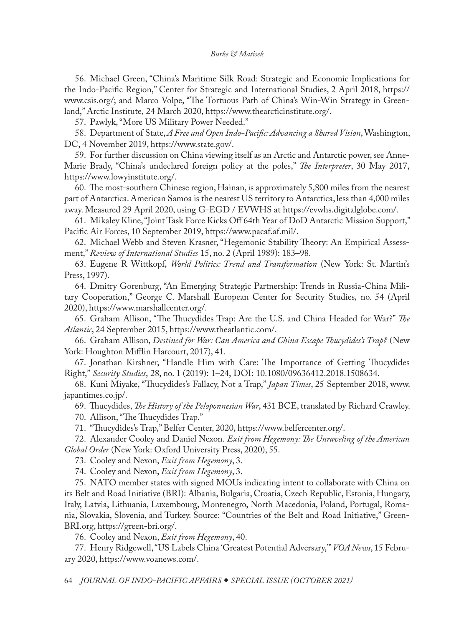<span id="page-28-0"></span>[56](#page-10-0). Michael Green, "China's Maritime Silk Road: Strategic and Economic Implications for the Indo-Pacific Region," Center for Strategic and International Studies, 2 April 2018, [https://](https://www.csis.org/analysis/chinas-maritime-silk-road) [www.csis.org/;](https://www.csis.org/analysis/chinas-maritime-silk-road) and Marco Volpe, "The Tortuous Path of China's Win-Win Strategy in Greenland," Arctic Institute*,* 24 March 2020, [https://www.thearcticinstitute.org/](https://www.thearcticinstitute.org/tortuous-path-china-win-win-strategy-greenland/).

[57](#page-10-0). Pawlyk, "More US Military Power Needed."

[58](#page-11-0). Department of State, *A Free and Open Indo-Pacific: Advancing a Shared Vision*, Washington, DC, 4 November 2019, [https://www.state.gov/.](https://www.state.gov/wp-content/uploads/2019/11/Free-and-Open-Indo-Pacific-4Nov2019.pdf)

[59](#page-11-0). For further discussion on China viewing itself as an Arctic and Antarctic power, see Anne-Marie Brady, "China's undeclared foreign policy at the poles," *The Interpreter*, 30 May 2017, [https://www.lowyinstitute.org/.](https://www.lowyinstitute.org/)

[60](#page-11-0). The most-southern Chinese region, Hainan, is approximately 5,800 miles from the nearest part of Antarctica. American Samoa is the nearest US territory to Antarctica, less than 4,000 miles away. Measured 29 April 2020, using G-EGD / EVWHS at <https://evwhs.digitalglobe.com/>.

[61](#page-11-0). Mikaley Kline, "Joint Task Force Kicks Off 64th Year of DoD Antarctic Mission Support," Pacific Air Forces, 10 September 2019, [https://www.pacaf.af.mil/](https://www.pacaf.af.mil/News/Article-Display/Article/1956772/joint-task-force-kicks-off-64th-year-of-dod-antarctic-mission-support/).

[62](#page-12-0). Michael Webb and Steven Krasner, "Hegemonic Stability Theory: An Empirical Assessment," *Review of International Studies* 15, no. 2 (April 1989): 183–98.

[63](#page-12-0). Eugene R Wittkopf, *World Politics: Trend and Transformation* (New York: St. Martin's Press, 1997).

[64](#page-12-0). Dmitry Gorenburg, "An Emerging Strategic Partnership: Trends in Russia-China Military Cooperation," George C. Marshall European Center for Security Studies*,* no. 54 (April 2020), [https://www.marshallcenter.org/](https://www.marshallcenter.org/en/publications/security-insights/emerging-strategic-partnership-trends-russia-china-military-cooperation-0).

[65](#page-13-0). Graham Allison, "The Thucydides Trap: Are the U.S. and China Headed for War?" *The Atlantic*, 24 September 2015, [https://www.theatlantic.com/.](https://www.theatlantic.com/international/archive/2015/09/united-states-china-war-thucydides-trap/406756/)

[66](#page-13-0). Graham Allison, *Destined for War: Can America and China Escape Thucydides's Trap?* (New York: Houghton Mifflin Harcourt, 2017), 41.

[67](#page-13-0). Jonathan Kirshner, "Handle Him with Care: The Importance of Getting Thucydides Right," *Security Studies*, 28, no. 1 (2019): 1–24, DOI: [10.1080/09636412.2018.1508634.](https://doi.org/10.1080/09636412.2018.1508634)

[68](#page-13-0). Kuni Miyake, "Thucydides's Fallacy, Not a Trap," *Japan Times*, 25 September 2018, [www.](https://www.japantimes.co.jp/opinion/2018/09/25/commentary/world-commentary/thucydidess-fallacy-not-trap/%23.XjHcrehKjD5) [japantimes.co.jp/](https://www.japantimes.co.jp/opinion/2018/09/25/commentary/world-commentary/thucydidess-fallacy-not-trap/%23.XjHcrehKjD5).

[69](#page-13-0). Thucydides, *The History of the Peloponnesian War*, 431 BCE, translated by Richard Crawley. [70](#page-14-0). Allison, "The Thucydides Trap."

[71](#page-14-0). "Thucydides's Trap," Belfer Center, 2020, [https://www.belfercenter.org/](https://www.belfercenter.org/thucydides-trap/overview-thucydides-trap).

[72](#page-14-0). Alexander Cooley and Daniel Nexon. *Exit from Hegemony: The Unraveling of the American Global Order* (New York: Oxford University Press, 2020), 55.

[73](#page-14-0). Cooley and Nexon, *Exit from Hegemony*, 3.

[74](#page-14-0). Cooley and Nexon, *Exit from Hegemony*, 3.

[75](#page-15-0). NATO member states with signed MOUs indicating intent to collaborate with China on its Belt and Road Initiative (BRI): Albania, Bulgaria, Croatia, Czech Republic, Estonia, Hungary, Italy, Latvia, Lithuania, Luxembourg, Montenegro, North Macedonia, Poland, Portugal, Romania, Slovakia, Slovenia, and Turkey. Source: "Countries of the Belt and Road Initiative," Green-BRI.org, [https://green-bri.org/.](https://green-bri.org/countries-of-the-belt-and-road-initiative-bri)

[76](#page-15-0). Cooley and Nexon, *Exit from Hegemony*, 40.

[77](#page-16-0). Henry Ridgewell, "US Labels China 'Greatest Potential Adversary,'" *VOA News*, 15 February 2020, [https://www.voanews.com/](https://www.voanews.com/europe/us-labels-china-greatest-potential-adversary).

64 *JOURNAL OF INDO-PACIFIC AFFAIRS SPECIAL ISSUE (OCTOBER 2021)*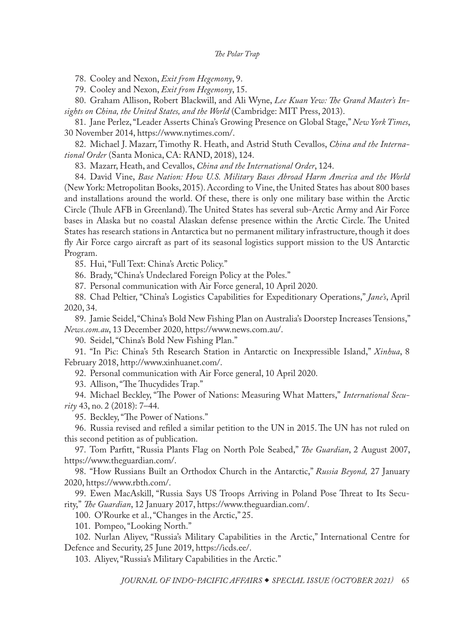<span id="page-29-0"></span>[78](#page-16-0). Cooley and Nexon, *Exit from Hegemony*, 9.

[79](#page-16-0). Cooley and Nexon, *Exit from Hegemony*, 15.

[80](#page-16-0). Graham Allison, Robert Blackwill, and Ali Wyne, *Lee Kuan Yew: The Grand Master's Insights on China, the United States, and the World* (Cambridge: MIT Press, 2013).

[81](#page-16-0). Jane Perlez, "Leader Asserts China's Growing Presence on Global Stage," *New York Times*, 30 November 2014, [https://www.nytimes.com/.](https://www.nytimes.com/2014/12/01/world/asia/leader-asserts-chinas-growing-role-on-global-stage.html)

[82](#page-16-0). Michael J. Mazarr, Timothy R. Heath, and Astrid Stuth Cevallos, *China and the International Order* (Santa Monica, CA: RAND, 2018), 124.

[83](#page-16-0). Mazarr, Heath, and Cevallos, *China and the International Order*, 124.

[84](#page-17-0). David Vine, *Base Nation: How U.S. Military Bases Abroad Harm America and the World* (New York: Metropolitan Books, 2015). According to Vine, the United States has about 800 bases and installations around the world. Of these, there is only one military base within the Arctic Circle (Thule AFB in Greenland). The United States has several sub-Arctic Army and Air Force bases in Alaska but no coastal Alaskan defense presence within the Arctic Circle. The United States has research stations in Antarctica but no permanent military infrastructure, though it does fly Air Force cargo aircraft as part of its seasonal logistics support mission to the US Antarctic Program.

[85](#page-17-0). Hui, "Full Text: China's Arctic Policy."

[86](#page-17-0). Brady, "China's Undeclared Foreign Policy at the Poles."

[87](#page-17-0). Personal communication with Air Force general, 10 April 2020.

[88](#page-17-0). Chad Peltier, "China's Logistics Capabilities for Expeditionary Operations," *Jane's*, April 2020, 34.

[89](#page-17-0). Jamie Seidel, "China's Bold New Fishing Plan on Australia's Doorstep Increases Tensions," *News.com.au*, 13 December 2020, [https://www.news.com.au/.](https://www.news.com.au/technology/innovation/military/chinas-bold-new-fishing-plan-on-australias-doorstep-increases-tensions/news-story/a27224ce439fe490a93a7be81efb6148)

[90](#page-17-0). Seidel, "China's Bold New Fishing Plan."

[91](#page-17-0). "In Pic: China's 5th Research Station in Antarctic on Inexpressible Island," *Xinhua*, 8 February 2018, [http://www.xinhuanet.com/.](http://www.xinhuanet.com/english/2018-02/08/c_136958901.htm)

[92](#page-18-0). Personal communication with Air Force general, 10 April 2020.

[93](#page-18-0). Allison, "The Thucydides Trap."

[94](#page-18-0). Michael Beckley, "The Power of Nations: Measuring What Matters," *International Security* 43, no. 2 (2018): 7–44.

[95](#page-18-0). Beckley, "The Power of Nations."

[96](#page-19-0). Russia revised and refiled a similar petition to the UN in 2015. The UN has not ruled on this second petition as of publication.

[97](#page-19-0). Tom Parfitt, "Russia Plants Flag on North Pole Seabed," *The Guardian*, 2 August 2007, [https://www.theguardian.com/](https://www.theguardian.com/world/2007/aug/02/russia.arctic).

[98](#page-19-0). "How Russians Built an Orthodox Church in the Antarctic," *Russia Beyond,* 27 January 2020, [https://www.rbth.com/](https://www.rbth.com/travel/331601-russian-orthodox-church-antarctic).

[99](#page-19-0). Ewen MacAskill, "Russia Says US Troops Arriving in Poland Pose Threat to Its Security," *The Guardian*, 12 January 2017, [https://www.theguardian.com/](https://www.theguardian.com/us-news/2017/jan/12/doubts-over-biggest-us-deployment-in-europe-since-cold-war-under-trump).

[100](#page-19-0). O'Rourke et al., "Changes in the Arctic," 25.

[101](#page-20-0). Pompeo, "Looking North."

[102](#page-20-0). Nurlan Aliyev, "Russia's Military Capabilities in the Arctic," International Centre for Defence and Security, 25 June 2019, [https://icds.ee/](https://icds.ee/russias-military-capabilities-in-the-arctic/).

[103](#page-20-0). Aliyev, "Russia's Military Capabilities in the Arctic."